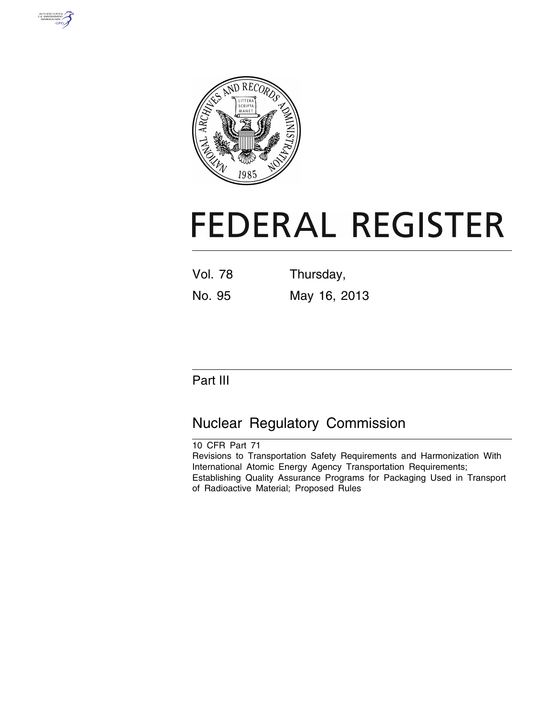



# **FEDERAL REGISTER**

Vol. 78 Thursday, No. 95 May 16, 2013

# Part III

# Nuclear Regulatory Commission

10 CFR Part 71 Revisions to Transportation Safety Requirements and Harmonization With International Atomic Energy Agency Transportation Requirements; Establishing Quality Assurance Programs for Packaging Used in Transport of Radioactive Material; Proposed Rules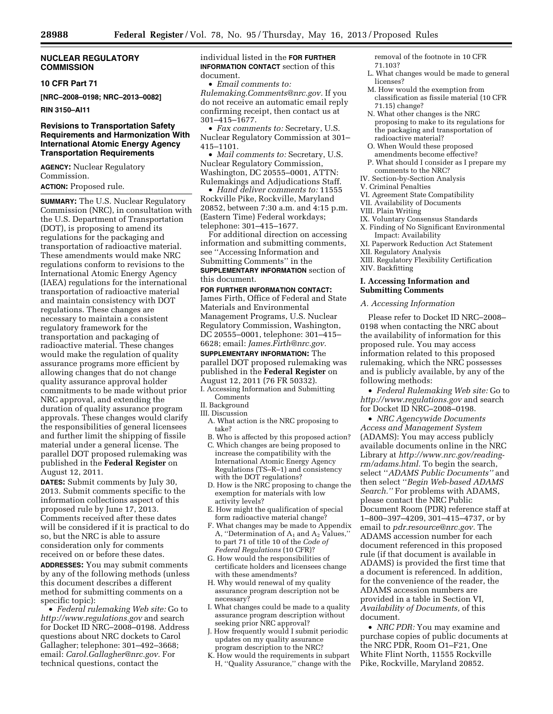#### **NUCLEAR REGULATORY COMMISSION**

#### **10 CFR Part 71**

**[NRC–2008–0198; NRC–2013–0082]** 

#### **RIN 3150–AI11**

#### **Revisions to Transportation Safety Requirements and Harmonization With International Atomic Energy Agency Transportation Requirements**

**AGENCY:** Nuclear Regulatory Commission.

**ACTION:** Proposed rule.

**SUMMARY:** The U.S. Nuclear Regulatory Commission (NRC), in consultation with the U.S. Department of Transportation (DOT), is proposing to amend its regulations for the packaging and transportation of radioactive material. These amendments would make NRC regulations conform to revisions to the International Atomic Energy Agency (IAEA) regulations for the international transportation of radioactive material and maintain consistency with DOT regulations. These changes are necessary to maintain a consistent regulatory framework for the transportation and packaging of radioactive material. These changes would make the regulation of quality assurance programs more efficient by allowing changes that do not change quality assurance approval holder commitments to be made without prior NRC approval, and extending the duration of quality assurance program approvals. These changes would clarify the responsibilities of general licensees and further limit the shipping of fissile material under a general license. The parallel DOT proposed rulemaking was published in the **Federal Register** on August 12, 2011.

**DATES:** Submit comments by July 30, 2013. Submit comments specific to the information collections aspect of this proposed rule by June 17, 2013. Comments received after these dates will be considered if it is practical to do so, but the NRC is able to assure consideration only for comments received on or before these dates.

**ADDRESSES:** You may submit comments by any of the following methods (unless this document describes a different method for submitting comments on a specific topic):

• *Federal rulemaking Web site:* Go to *<http://www.regulations.gov>* and search for Docket ID NRC–2008–0198. Address questions about NRC dockets to Carol Gallagher; telephone: 301–492–3668; email: *[Carol.Gallagher@nrc.gov.](mailto:Carol.Gallagher@nrc.gov)* For technical questions, contact the

#### individual listed in the **FOR FURTHER INFORMATION CONTACT** section of this document.

• *Email comments to:* 

*[Rulemaking.Comments@nrc.gov.](mailto:Rulemaking.Comments@nrc.gov)* If you do not receive an automatic email reply confirming receipt, then contact us at 301–415–1677.

• *Fax comments to:* Secretary, U.S. Nuclear Regulatory Commission at 301– 415–1101.

• *Mail comments to:* Secretary, U.S. Nuclear Regulatory Commission, Washington, DC 20555–0001, ATTN: Rulemakings and Adjudications Staff.

• *Hand deliver comments to:* 11555 Rockville Pike, Rockville, Maryland 20852, between 7:30 a.m. and 4:15 p.m. (Eastern Time) Federal workdays; telephone: 301–415–1677.

For additional direction on accessing information and submitting comments, see ''Accessing Information and Submitting Comments'' in the **SUPPLEMENTARY INFORMATION** section of this document.

#### **FOR FURTHER INFORMATION CONTACT:**

James Firth, Office of Federal and State Materials and Environmental Management Programs, U.S. Nuclear Regulatory Commission, Washington, DC 20555–0001, telephone: 301–415– 6628; email: *[James.Firth@nrc.gov.](mailto:James.Firth@nrc.gov)* 

**SUPPLEMENTARY INFORMATION:** The parallel DOT proposed rulemaking was published in the **Federal Register** on August 12, 2011 (76 FR 50332).

- I. Accessing Information and Submitting Comments
- II. Background III. Discussion
- A. What action is the NRC proposing to take?
- B. Who is affected by this proposed action? C. Which changes are being proposed to increase the compatibility with the International Atomic Energy Agency Regulations (TS–R–1) and consistency
- with the DOT regulations? D. How is the NRC proposing to change the exemption for materials with low activity levels?
- E. How might the qualification of special form radioactive material change?
- F. What changes may be made to Appendix A, "Determination of  $A_1$  and  $A_2$  Values," to part 71 of title 10 of the *Code of Federal Regulations* (10 CFR)?
- G. How would the responsibilities of certificate holders and licensees change with these amendments?
- H. Why would renewal of my quality assurance program description not be necessary?
- I. What changes could be made to a quality assurance program description without seeking prior NRC approval?
- J. How frequently would I submit periodic updates on my quality assurance program description to the NRC?
- K. How would the requirements in subpart H, ''Quality Assurance,'' change with the

removal of the footnote in 10 CFR

- 71.103?
- L. What changes would be made to general licenses?
- M. How would the exemption from classification as fissile material (10 CFR 71.15) change?
- N. What other changes is the NRC proposing to make to its regulations for the packaging and transportation of radioactive material?
- O. When Would these proposed amendments become effective?
- P. What should I consider as I prepare my comments to the NRC?
- IV. Section-by-Section Analysis
- V. Criminal Penalties
- VI. Agreement State Compatibility
- VII. Availability of Documents
- VIII. Plain Writing
- IX. Voluntary Consensus Standards
- X. Finding of No Significant Environmental Impact: Availability
- XI. Paperwork Reduction Act Statement
- XII. Regulatory Analysis
- XIII. Regulatory Flexibility Certification
- XIV. Backfitting

#### **I. Accessing Information and Submitting Comments**

*A. Accessing Information* 

Please refer to Docket ID NRC–2008– 0198 when contacting the NRC about the availability of information for this proposed rule. You may access information related to this proposed rulemaking, which the NRC possesses and is publicly available, by any of the following methods:

• *Federal Rulemaking Web site:* Go to *<http://www.regulations.gov>* and search for Docket ID NRC–2008–0198.

• *NRC Agencywide Documents Access and Management System*  (ADAMS): You may access publicly available documents online in the NRC Library at *[http://www.nrc.gov/reading](http://www.nrc.gov/reading-rm/adams.html)[rm/adams.html.](http://www.nrc.gov/reading-rm/adams.html)* To begin the search, select ''*ADAMS Public Documents''* and then select ''*Begin Web-based ADAMS Search.''* For problems with ADAMS, please contact the NRC Public Document Room (PDR) reference staff at 1–800–397–4209, 301–415–4737, or by email to *[pdr.resource@nrc.gov.](mailto:pdr.resource@nrc.gov)* The ADAMS accession number for each document referenced in this proposed rule (if that document is available in ADAMS) is provided the first time that a document is referenced. In addition, for the convenience of the reader, the ADAMS accession numbers are provided in a table in Section VI, *Availability of Documents,* of this document.

• *NRC PDR:* You may examine and purchase copies of public documents at the NRC PDR, Room O1–F21, One White Flint North, 11555 Rockville Pike, Rockville, Maryland 20852.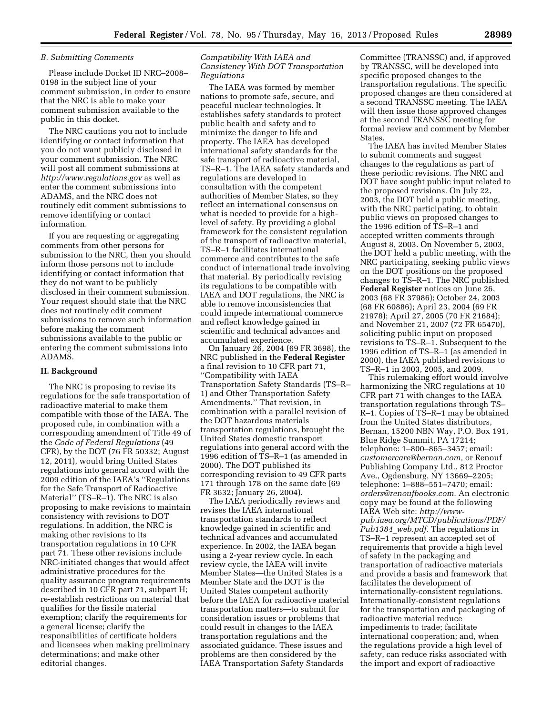#### *B. Submitting Comments*

Please include Docket ID NRC–2008– 0198 in the subject line of your comment submission, in order to ensure that the NRC is able to make your comment submission available to the public in this docket.

The NRC cautions you not to include identifying or contact information that you do not want publicly disclosed in your comment submission. The NRC will post all comment submissions at *<http://www.regulations.gov>* as well as enter the comment submissions into ADAMS, and the NRC does not routinely edit comment submissions to remove identifying or contact information.

If you are requesting or aggregating comments from other persons for submission to the NRC, then you should inform those persons not to include identifying or contact information that they do not want to be publicly disclosed in their comment submission. Your request should state that the NRC does not routinely edit comment submissions to remove such information before making the comment submissions available to the public or entering the comment submissions into ADAMS.

#### **II. Background**

The NRC is proposing to revise its regulations for the safe transportation of radioactive material to make them compatible with those of the IAEA. The proposed rule, in combination with a corresponding amendment of Title 49 of the *Code of Federal Regulations* (49 CFR), by the DOT (76 FR 50332; August 12, 2011), would bring United States regulations into general accord with the 2009 edition of the IAEA's ''Regulations for the Safe Transport of Radioactive Material'' (TS–R–1). The NRC is also proposing to make revisions to maintain consistency with revisions to DOT regulations. In addition, the NRC is making other revisions to its transportation regulations in 10 CFR part 71. These other revisions include NRC-initiated changes that would affect administrative procedures for the quality assurance program requirements described in 10 CFR part 71, subpart H; re-establish restrictions on material that qualifies for the fissile material exemption; clarify the requirements for a general license; clarify the responsibilities of certificate holders and licensees when making preliminary determinations; and make other editorial changes.

#### *Compatibility With IAEA and Consistency With DOT Transportation Regulations*

The IAEA was formed by member nations to promote safe, secure, and peaceful nuclear technologies. It establishes safety standards to protect public health and safety and to minimize the danger to life and property. The IAEA has developed international safety standards for the safe transport of radioactive material, TS–R–1. The IAEA safety standards and regulations are developed in consultation with the competent authorities of Member States, so they reflect an international consensus on what is needed to provide for a highlevel of safety. By providing a global framework for the consistent regulation of the transport of radioactive material, TS–R–1 facilitates international commerce and contributes to the safe conduct of international trade involving that material. By periodically revising its regulations to be compatible with IAEA and DOT regulations, the NRC is able to remove inconsistencies that could impede international commerce and reflect knowledge gained in scientific and technical advances and accumulated experience.

On January 26, 2004 (69 FR 3698), the NRC published in the **Federal Register**  a final revision to 10 CFR part 71, ''Compatibility with IAEA Transportation Safety Standards (TS–R– 1) and Other Transportation Safety Amendments.'' That revision, in combination with a parallel revision of the DOT hazardous materials transportation regulations, brought the United States domestic transport regulations into general accord with the 1996 edition of TS–R–1 (as amended in 2000). The DOT published its corresponding revision to 49 CFR parts 171 through 178 on the same date (69 FR 3632; January 26, 2004).

The IAEA periodically reviews and revises the IAEA international transportation standards to reflect knowledge gained in scientific and technical advances and accumulated experience. In 2002, the IAEA began using a 2-year review cycle. In each review cycle, the IAEA will invite Member States—the United States is a Member State and the DOT is the United States competent authority before the IAEA for radioactive material transportation matters—to submit for consideration issues or problems that could result in changes to the IAEA transportation regulations and the associated guidance. These issues and problems are then considered by the IAEA Transportation Safety Standards

Committee (TRANSSC) and, if approved by TRANSSC, will be developed into specific proposed changes to the transportation regulations. The specific proposed changes are then considered at a second TRANSSC meeting. The IAEA will then issue those approved changes at the second TRANSSC meeting for formal review and comment by Member States.

The IAEA has invited Member States to submit comments and suggest changes to the regulations as part of these periodic revisions. The NRC and DOT have sought public input related to the proposed revisions. On July 22, 2003, the DOT held a public meeting, with the NRC participating, to obtain public views on proposed changes to the 1996 edition of TS–R–1 and accepted written comments through August 8, 2003. On November 5, 2003, the DOT held a public meeting, with the NRC participating, seeking public views on the DOT positions on the proposed changes to TS–R–1. The NRC published **Federal Register** notices on June 26, 2003 (68 FR 37986); October 24, 2003 (68 FR 60886); April 23, 2004 (69 FR 21978); April 27, 2005 (70 FR 21684); and November 21, 2007 (72 FR 65470), soliciting public input on proposed revisions to TS–R–1. Subsequent to the 1996 edition of TS–R–1 (as amended in 2000), the IAEA published revisions to TS–R–1 in 2003, 2005, and 2009.

This rulemaking effort would involve harmonizing the NRC regulations at 10 CFR part 71 with changes to the IAEA transportation regulations through TS– R–1. Copies of TS–R–1 may be obtained from the United States distributors, Bernan, 15200 NBN Way, P.O. Box 191, Blue Ridge Summit, PA 17214; telephone: 1–800–865–3457; email: *[customercare@bernan.com,](mailto:customercare@bernan.com)* or Renouf Publishing Company Ltd., 812 Proctor Ave., Ogdensburg, NY 13669–2205; telephone: 1–888–551–7470; email: *[orders@renoufbooks.com.](mailto:orders@renoufbooks.com)* An electronic copy may be found at the following IAEA Web site: *[http://www](http://www-pub.iaea.org/MTCD/publications/PDF/Pub1384_web.pdf)[pub.iaea.org/MTCD/publications/PDF/](http://www-pub.iaea.org/MTCD/publications/PDF/Pub1384_web.pdf)  [Pub1384](http://www-pub.iaea.org/MTCD/publications/PDF/Pub1384_web.pdf)*\_*web.pdf.* The regulations in TS–R–1 represent an accepted set of requirements that provide a high level of safety in the packaging and transportation of radioactive materials and provide a basis and framework that facilitates the development of internationally-consistent regulations. Internationally-consistent regulations for the transportation and packaging of radioactive material reduce impediments to trade; facilitate international cooperation; and, when the regulations provide a high level of safety, can reduce risks associated with the import and export of radioactive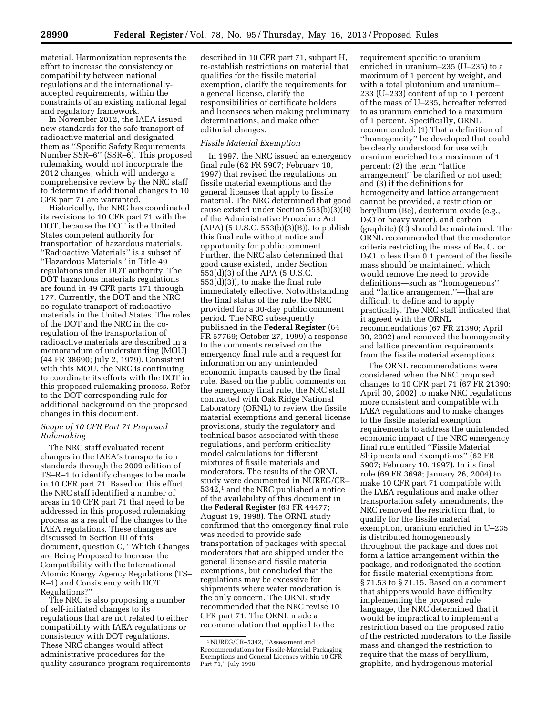material. Harmonization represents the effort to increase the consistency or compatibility between national regulations and the internationallyaccepted requirements, within the constraints of an existing national legal and regulatory framework.

In November 2012, the IAEA issued new standards for the safe transport of radioactive material and designated them as ''Specific Safety Requirements Number SSR–6'' (SSR–6). This proposed rulemaking would not incorporate the 2012 changes, which will undergo a comprehensive review by the NRC staff to determine if additional changes to 10 CFR part 71 are warranted.

Historically, the NRC has coordinated its revisions to 10 CFR part 71 with the DOT, because the DOT is the United States competent authority for transportation of hazardous materials. ''Radioactive Materials'' is a subset of ''Hazardous Materials'' in Title 49 regulations under DOT authority. The DOT hazardous materials regulations are found in 49 CFR parts 171 through 177. Currently, the DOT and the NRC co-regulate transport of radioactive materials in the United States. The roles of the DOT and the NRC in the coregulation of the transportation of radioactive materials are described in a memorandum of understanding (MOU) (44 FR 38690; July 2, 1979). Consistent with this MOU, the NRC is continuing to coordinate its efforts with the DOT in this proposed rulemaking process. Refer to the DOT corresponding rule for additional background on the proposed changes in this document.

#### *Scope of 10 CFR Part 71 Proposed Rulemaking*

The NRC staff evaluated recent changes in the IAEA's transportation standards through the 2009 edition of TS–R–1 to identify changes to be made in 10 CFR part 71. Based on this effort, the NRC staff identified a number of areas in 10 CFR part 71 that need to be addressed in this proposed rulemaking process as a result of the changes to the IAEA regulations. These changes are discussed in Section III of this document, question C, ''Which Changes are Being Proposed to Increase the Compatibility with the International Atomic Energy Agency Regulations (TS– R–1) and Consistency with DOT Regulations?''

The NRC is also proposing a number of self-initiated changes to its regulations that are not related to either compatibility with IAEA regulations or consistency with DOT regulations. These NRC changes would affect administrative procedures for the quality assurance program requirements

described in 10 CFR part 71, subpart H, re-establish restrictions on material that qualifies for the fissile material exemption, clarify the requirements for a general license, clarify the responsibilities of certificate holders and licensees when making preliminary determinations, and make other editorial changes.

#### *Fissile Material Exemption*

In 1997, the NRC issued an emergency final rule (62 FR 5907; February 10, 1997) that revised the regulations on fissile material exemptions and the general licenses that apply to fissile material. The NRC determined that good cause existed under Section 553(b)(3)(B) of the Administrative Procedure Act  $(APA)$  (5 U.S.C. 553(b)(3)(B)), to publish this final rule without notice and opportunity for public comment. Further, the NRC also determined that good cause existed, under Section 553(d)(3) of the APA (5 U.S.C. 553(d)(3)), to make the final rule immediately effective. Notwithstanding the final status of the rule, the NRC provided for a 30-day public comment period. The NRC subsequently published in the **Federal Register** (64 FR 57769; October 27, 1999) a response to the comments received on the emergency final rule and a request for information on any unintended economic impacts caused by the final rule. Based on the public comments on the emergency final rule, the NRC staff contracted with Oak Ridge National Laboratory (ORNL) to review the fissile material exemptions and general license provisions, study the regulatory and technical bases associated with these regulations, and perform criticality model calculations for different mixtures of fissile materials and moderators. The results of the ORNL study were documented in NUREG/CR– 5342,<sup>1</sup> and the NRC published a notice of the availability of this document in the **Federal Register** (63 FR 44477; August 19, 1998). The ORNL study confirmed that the emergency final rule was needed to provide safe transportation of packages with special moderators that are shipped under the general license and fissile material exemptions, but concluded that the regulations may be excessive for shipments where water moderation is the only concern. The ORNL study recommended that the NRC revise 10 CFR part 71. The ORNL made a recommendation that applied to the

requirement specific to uranium enriched in uranium–235 (U–235) to a maximum of 1 percent by weight, and with a total plutonium and uranium– 233 (U–233) content of up to 1 percent of the mass of U–235, hereafter referred to as uranium enriched to a maximum of 1 percent. Specifically, ORNL recommended: (1) That a definition of ''homogeneity'' be developed that could be clearly understood for use with uranium enriched to a maximum of 1 percent; (2) the term ''lattice arrangement'' be clarified or not used; and (3) if the definitions for homogeneity and lattice arrangement cannot be provided, a restriction on beryllium (Be), deuterium oxide (e.g., D2O or heavy water), and carbon (graphite) (C) should be maintained. The ORNL recommended that the moderator criteria restricting the mass of Be, C, or  $D<sub>2</sub>O$  to less than 0.1 percent of the fissile mass should be maintained, which would remove the need to provide definitions—such as ''homogeneous'' and ''lattice arrangement''—that are difficult to define and to apply practically. The NRC staff indicated that it agreed with the ORNL recommendations (67 FR 21390; April 30, 2002) and removed the homogeneity and lattice prevention requirements from the fissile material exemptions.

The ORNL recommendations were considered when the NRC proposed changes to 10 CFR part 71 (67 FR 21390; April 30, 2002) to make NRC regulations more consistent and compatible with IAEA regulations and to make changes to the fissile material exemption requirements to address the unintended economic impact of the NRC emergency final rule entitled ''Fissile Material Shipments and Exemptions'' (62 FR 5907; February 10, 1997). In its final rule (69 FR 3698; January 26, 2004) to make 10 CFR part 71 compatible with the IAEA regulations and make other transportation safety amendments, the NRC removed the restriction that, to qualify for the fissile material exemption, uranium enriched in U–235 is distributed homogeneously throughout the package and does not form a lattice arrangement within the package, and redesignated the section for fissile material exemptions from § 71.53 to § 71.15. Based on a comment that shippers would have difficulty implementing the proposed rule language, the NRC determined that it would be impractical to implement a restriction based on the proposed ratio of the restricted moderators to the fissile mass and changed the restriction to require that the mass of beryllium, graphite, and hydrogenous material

<sup>1</sup>NUREG/CR–5342, ''Assessment and Recommendations for Fissile-Material Packaging Exemptions and General Licenses within 10 CFR Part 71,'' July 1998.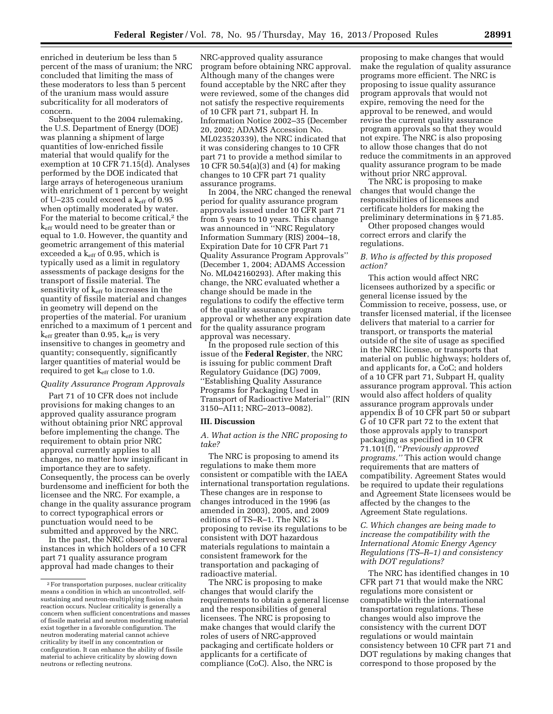enriched in deuterium be less than 5 percent of the mass of uranium; the NRC concluded that limiting the mass of these moderators to less than 5 percent of the uranium mass would assure subcriticality for all moderators of concern.

Subsequent to the 2004 rulemaking, the U.S. Department of Energy (DOE) was planning a shipment of large quantities of low-enriched fissile material that would qualify for the exemption at 10 CFR 71.15(d). Analyses performed by the DOE indicated that large arrays of heterogeneous uranium with enrichment of 1 percent by weight of U-235 could exceed a keff of 0.95 when optimally moderated by water. For the material to become critical,<sup>2</sup> the keff would need to be greater than or equal to 1.0. However, the quantity and geometric arrangement of this material exceeded a  $k_{\text{eff}}$  of 0.95, which is typically used as a limit in regulatory assessments of package designs for the transport of fissile material. The sensitivity of  $k_{\text{eff}}$  to increases in the quantity of fissile material and changes in geometry will depend on the properties of the material. For uranium enriched to a maximum of 1 percent and  $k<sub>eff</sub>$  greater than 0.95,  $k<sub>eff</sub>$  is very insensitive to changes in geometry and quantity; consequently, significantly larger quantities of material would be required to get  $k_{\text{eff}}$  close to 1.0.

#### *Quality Assurance Program Approvals*

Part 71 of 10 CFR does not include provisions for making changes to an approved quality assurance program without obtaining prior NRC approval before implementing the change. The requirement to obtain prior NRC approval currently applies to all changes, no matter how insignificant in importance they are to safety. Consequently, the process can be overly burdensome and inefficient for both the licensee and the NRC. For example, a change in the quality assurance program to correct typographical errors or punctuation would need to be submitted and approved by the NRC.

In the past, the NRC observed several instances in which holders of a 10 CFR part 71 quality assurance program approval had made changes to their

NRC-approved quality assurance program before obtaining NRC approval. Although many of the changes were found acceptable by the NRC after they were reviewed, some of the changes did not satisfy the respective requirements of 10 CFR part 71, subpart H. In Information Notice 2002–35 (December 20, 2002; ADAMS Accession No. ML023520339), the NRC indicated that it was considering changes to 10 CFR part 71 to provide a method similar to 10 CFR 50.54(a)(3) and (4) for making changes to 10 CFR part 71 quality assurance programs.

In 2004, the NRC changed the renewal period for quality assurance program approvals issued under 10 CFR part 71 from 5 years to 10 years. This change was announced in ''NRC Regulatory Information Summary (RIS) 2004–18, Expiration Date for 10 CFR Part 71 Quality Assurance Program Approvals'' (December 1, 2004; ADAMS Accession No. ML042160293). After making this change, the NRC evaluated whether a change should be made in the regulations to codify the effective term of the quality assurance program approval or whether any expiration date for the quality assurance program approval was necessary.

In the proposed rule section of this issue of the **Federal Register**, the NRC is issuing for public comment Draft Regulatory Guidance (DG) 7009, ''Establishing Quality Assurance Programs for Packaging Used in Transport of Radioactive Material'' (RIN 3150–AI11; NRC–2013–0082).

#### **III. Discussion**

*A. What action is the NRC proposing to take?* 

The NRC is proposing to amend its regulations to make them more consistent or compatible with the IAEA international transportation regulations. These changes are in response to changes introduced in the 1996 (as amended in 2003), 2005, and 2009 editions of TS–R–1. The NRC is proposing to revise its regulations to be consistent with DOT hazardous materials regulations to maintain a consistent framework for the transportation and packaging of radioactive material.

The NRC is proposing to make changes that would clarify the requirements to obtain a general license and the responsibilities of general licensees. The NRC is proposing to make changes that would clarify the roles of users of NRC-approved packaging and certificate holders or applicants for a certificate of compliance (CoC). Also, the NRC is

proposing to make changes that would make the regulation of quality assurance programs more efficient. The NRC is proposing to issue quality assurance program approvals that would not expire, removing the need for the approval to be renewed, and would revise the current quality assurance program approvals so that they would not expire. The NRC is also proposing to allow those changes that do not reduce the commitments in an approved quality assurance program to be made without prior NRC approval.

The NRC is proposing to make changes that would change the responsibilities of licensees and certificate holders for making the preliminary determinations in § 71.85.

Other proposed changes would correct errors and clarify the regulations.

#### *B. Who is affected by this proposed action?*

This action would affect NRC licensees authorized by a specific or general license issued by the Commission to receive, possess, use, or transfer licensed material, if the licensee delivers that material to a carrier for transport, or transports the material outside of the site of usage as specified in the NRC license, or transports that material on public highways; holders of, and applicants for, a CoC; and holders of a 10 CFR part 71, Subpart H, quality assurance program approval. This action would also affect holders of quality assurance program approvals under appendix B of 10 CFR part 50 or subpart G of 10 CFR part 72 to the extent that those approvals apply to transport packaging as specified in 10 CFR 71.101(f), ''*Previously approved programs.''* This action would change requirements that are matters of compatibility. Agreement States would be required to update their regulations and Agreement State licensees would be affected by the changes to the Agreement State regulations.

#### *C. Which changes are being made to increase the compatibility with the International Atomic Energy Agency Regulations (TS–R–1) and consistency with DOT regulations?*

The NRC has identified changes in 10 CFR part 71 that would make the NRC regulations more consistent or compatible with the international transportation regulations. These changes would also improve the consistency with the current DOT regulations or would maintain consistency between 10 CFR part 71 and DOT regulations by making changes that correspond to those proposed by the

<sup>2</sup>For transportation purposes, nuclear criticality means a condition in which an uncontrolled, selfsustaining and neutron-multiplying fission chain reaction occurs. Nuclear criticality is generally a concern when sufficient concentrations and masses of fissile material and neutron moderating material exist together in a favorable configuration. The neutron moderating material cannot achieve criticality by itself in any concentration or configuration. It can enhance the ability of fissile material to achieve criticality by slowing down neutrons or reflecting neutrons.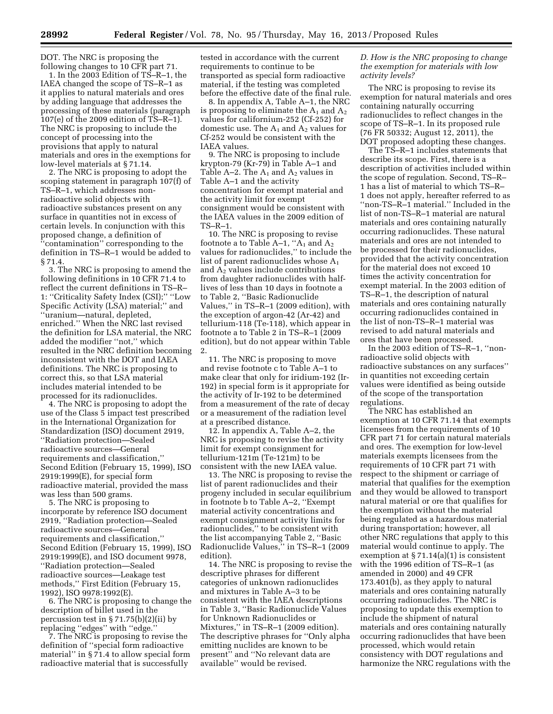DOT. The NRC is proposing the following changes to 10 CFR part 71.

1. In the 2003 Edition of TS–R–1, the IAEA changed the scope of TS–R–1 as it applies to natural materials and ores by adding language that addresses the processing of these materials (paragraph 107(e) of the 2009 edition of TS–R–1). The NRC is proposing to include the concept of processing into the provisions that apply to natural materials and ores in the exemptions for low-level materials at § 71.14.

2. The NRC is proposing to adopt the scoping statement in paragraph 107(f) of TS–R–1, which addresses nonradioactive solid objects with radioactive substances present on any surface in quantities not in excess of certain levels. In conjunction with this proposed change, a definition of ''contamination'' corresponding to the definition in TS–R–1 would be added to § 71.4.

3. The NRC is proposing to amend the following definitions in 10 CFR 71.4 to reflect the current definitions in TS–R– 1: "Criticality Safety Index (CSI);" "Low Specific Activity (LSA) material;'' and ''uranium—natural, depleted, enriched.'' When the NRC last revised the definition for LSA material, the NRC added the modifier ''not,'' which resulted in the NRC definition becoming inconsistent with the DOT and IAEA definitions. The NRC is proposing to correct this, so that LSA material includes material intended to be processed for its radionuclides.

4. The NRC is proposing to adopt the use of the Class 5 impact test prescribed in the International Organization for Standardization (ISO) document 2919, ''Radiation protection—Sealed radioactive sources—General requirements and classification,'' Second Edition (February 15, 1999), ISO 2919:1999(E), for special form radioactive material, provided the mass was less than 500 grams.

5. The NRC is proposing to incorporate by reference ISO document 2919, ''Radiation protection—Sealed radioactive sources—General requirements and classification,'' Second Edition (February 15, 1999), ISO 2919:1999(E), and ISO document 9978, ''Radiation protection—Sealed radioactive sources—Leakage test methods,'' First Edition (February 15, 1992), ISO 9978:1992(E).

6. The NRC is proposing to change the description of billet used in the percussion test in § 71.75(b)(2)(ii) by replacing ''edges'' with ''edge.''

7. The NRC is proposing to revise the definition of ''special form radioactive material'' in § 71.4 to allow special form radioactive material that is successfully

tested in accordance with the current requirements to continue to be transported as special form radioactive material, if the testing was completed before the effective date of the final rule.

8. In appendix A, Table A–1, the NRC is proposing to eliminate the  $A_1$  and  $A_2$ values for californium-252 (Cf-252) for domestic use. The  $A_1$  and  $A_2$  values for Cf-252 would be consistent with the IAEA values.

9. The NRC is proposing to include krypton-79 (Kr-79) in Table A–1 and Table  $A-2$ . The  $A_1$  and  $A_2$  values in Table A–1 and the activity concentration for exempt material and the activity limit for exempt consignment would be consistent with the IAEA values in the 2009 edition of  $TS-R-1$ .

10. The NRC is proposing to revise footnote a to Table  $A-1$ , " $A_1$  and  $A_2$ values for radionuclides,'' to include the list of parent radionuclides whose  $A_1$ and  $A_2$  values include contributions from daughter radionuclides with halflives of less than 10 days in footnote a to Table 2, ''Basic Radionuclide Values,'' in TS–R–1 (2009 edition), with the exception of argon-42 (Ar-42) and tellurium-118 (Te-118), which appear in footnote a to Table 2 in TS–R–1 (2009 edition), but do not appear within Table 2.

11. The NRC is proposing to move and revise footnote c to Table A–1 to make clear that only for iridium-192 (Ir-192) in special form is it appropriate for the activity of Ir-192 to be determined from a measurement of the rate of decay or a measurement of the radiation level at a prescribed distance.

12. In appendix A, Table A–2, the NRC is proposing to revise the activity limit for exempt consignment for tellurium-121m (Te-121m) to be consistent with the new IAEA value.

13. The NRC is proposing to revise the list of parent radionuclides and their progeny included in secular equilibrium in footnote b to Table A–2, ''Exempt material activity concentrations and exempt consignment activity limits for radionuclides,'' to be consistent with the list accompanying Table 2, ''Basic Radionuclide Values,'' in TS–R–1 (2009 edition).

14. The NRC is proposing to revise the descriptive phrases for different categories of unknown radionuclides and mixtures in Table A–3 to be consistent with the IAEA descriptions in Table 3, ''Basic Radionuclide Values for Unknown Radionuclides or Mixtures,'' in TS–R–1 (2009 edition). The descriptive phrases for ''Only alpha emitting nuclides are known to be present'' and ''No relevant data are available'' would be revised.

#### *D. How is the NRC proposing to change the exemption for materials with low activity levels?*

The NRC is proposing to revise its exemption for natural materials and ores containing naturally occurring radionuclides to reflect changes in the scope of TS–R–1. In its proposed rule (76 FR 50332; August 12, 2011), the DOT proposed adopting these changes.

The TS–R–1 includes statements that describe its scope. First, there is a description of activities included within the scope of regulation. Second, TS–R– 1 has a list of material to which TS–R– 1 does not apply, hereafter referred to as ''non-TS–R–1 material.'' Included in the list of non-TS–R–1 material are natural materials and ores containing naturally occurring radionuclides. These natural materials and ores are not intended to be processed for their radionuclides, provided that the activity concentration for the material does not exceed 10 times the activity concentration for exempt material. In the 2003 edition of TS–R–1, the description of natural materials and ores containing naturally occurring radionuclides contained in the list of non-TS–R–1 material was revised to add natural materials and ores that have been processed.

In the 2003 edition of TS–R–1, ''nonradioactive solid objects with radioactive substances on any surfaces'' in quantities not exceeding certain values were identified as being outside of the scope of the transportation regulations.

The NRC has established an exemption at 10 CFR 71.14 that exempts licensees from the requirements of 10 CFR part 71 for certain natural materials and ores. The exemption for low-level materials exempts licensees from the requirements of 10 CFR part 71 with respect to the shipment or carriage of material that qualifies for the exemption and they would be allowed to transport natural material or ore that qualifies for the exemption without the material being regulated as a hazardous material during transportation; however, all other NRC regulations that apply to this material would continue to apply. The exemption at  $\S 71.14(a)(1)$  is consistent with the 1996 edition of TS–R–1 (as amended in 2000) and 49 CFR 173.401(b), as they apply to natural materials and ores containing naturally occurring radionuclides. The NRC is proposing to update this exemption to include the shipment of natural materials and ores containing naturally occurring radionuclides that have been processed, which would retain consistency with DOT regulations and harmonize the NRC regulations with the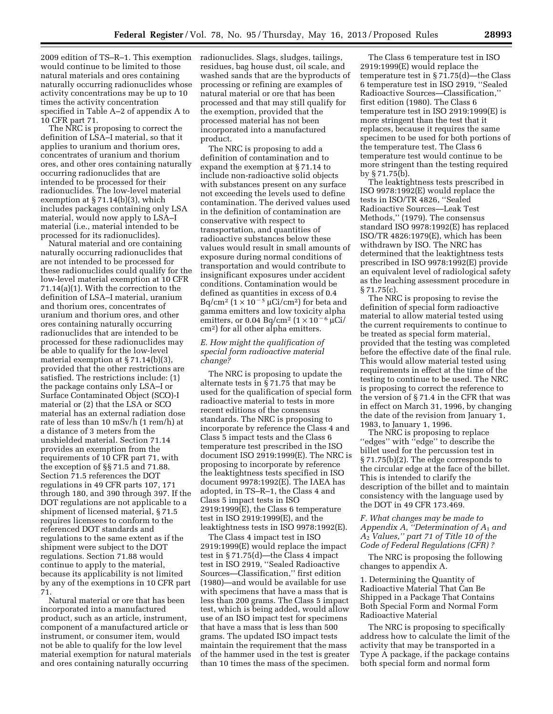2009 edition of TS–R–1. This exemption radionuclides. Slags, sludges, tailings, would continue to be limited to those natural materials and ores containing naturally occurring radionuclides whose activity concentrations may be up to 10 times the activity concentration specified in Table A–2 of appendix A to 10 CFR part 71.

The NRC is proposing to correct the definition of LSA–I material, so that it applies to uranium and thorium ores, concentrates of uranium and thorium ores, and other ores containing naturally occurring radionuclides that are intended to be processed for their radionuclides. The low-level material exemption at § 71.14(b)(3), which includes packages containing only LSA material, would now apply to LSA–I material (i.e., material intended to be processed for its radionuclides).

Natural material and ore containing naturally occurring radionuclides that are not intended to be processed for these radionuclides could qualify for the low-level material exemption at 10 CFR 71.14(a)(1). With the correction to the definition of LSA–I material, uranium and thorium ores, concentrates of uranium and thorium ores, and other ores containing naturally occurring radionuclides that are intended to be processed for these radionuclides may be able to qualify for the low-level material exemption at § 71.14(b)(3), provided that the other restrictions are satisfied. The restrictions include: (1) the package contains only LSA–I or Surface Contaminated Object (SCO)-I material or (2) that the LSA or SCO material has an external radiation dose rate of less than 10 mSv/h (1 rem/h) at a distance of 3 meters from the unshielded material. Section 71.14 provides an exemption from the requirements of 10 CFR part 71, with the exception of §§ 71.5 and 71.88. Section 71.5 references the DOT regulations in 49 CFR parts 107, 171 through 180, and 390 through 397. If the DOT regulations are not applicable to a shipment of licensed material, § 71.5 requires licensees to conform to the referenced DOT standards and regulations to the same extent as if the shipment were subject to the DOT regulations. Section 71.88 would continue to apply to the material, because its applicability is not limited by any of the exemptions in 10 CFR part 71.

Natural material or ore that has been incorporated into a manufactured product, such as an article, instrument, component of a manufactured article or instrument, or consumer item, would not be able to qualify for the low level material exemption for natural materials and ores containing naturally occurring

residues, bag house dust, oil scale, and washed sands that are the byproducts of processing or refining are examples of natural material or ore that has been processed and that may still qualify for the exemption, provided that the processed material has not been incorporated into a manufactured product.

The NRC is proposing to add a definition of contamination and to expand the exemption at § 71.14 to include non-radioactive solid objects with substances present on any surface not exceeding the levels used to define contamination. The derived values used in the definition of contamination are conservative with respect to transportation, and quantities of radioactive substances below these values would result in small amounts of exposure during normal conditions of transportation and would contribute to insignificant exposures under accident conditions. Contamination would be defined as quantities in excess of 0.4 Bq/cm<sup>2</sup> ( $1 \times 10^{-5}$  µCi/cm<sup>2</sup>) for beta and gamma emitters and low toxicity alpha emitters, or 0.04 Bq/cm<sup>2</sup>  $(1 \times 10^{-6} \mu\text{Ci})$ cm2) for all other alpha emitters.

#### *E. How might the qualification of special form radioactive material change?*

The NRC is proposing to update the alternate tests in § 71.75 that may be used for the qualification of special form radioactive material to tests in more recent editions of the consensus standards. The NRC is proposing to incorporate by reference the Class 4 and Class 5 impact tests and the Class 6 temperature test prescribed in the ISO document ISO 2919:1999(E). The NRC is proposing to incorporate by reference the leaktightness tests specified in ISO document 9978:1992(E). The IAEA has adopted, in TS–R–1, the Class 4 and Class 5 impact tests in ISO 2919:1999(E), the Class 6 temperature test in ISO 2919:1999(E), and the leaktightness tests in ISO 9978:1992(E).

The Class 4 impact test in ISO 2919:1999(E) would replace the impact test in § 71.75(d)—the Class 4 impact test in ISO 2919, ''Sealed Radioactive Sources—Classification,'' first edition (1980)—and would be available for use with specimens that have a mass that is less than 200 grams. The Class 5 impact test, which is being added, would allow use of an ISO impact test for specimens that have a mass that is less than 500 grams. The updated ISO impact tests maintain the requirement that the mass of the hammer used in the test is greater than 10 times the mass of the specimen.

The Class 6 temperature test in ISO 2919:1999(E) would replace the temperature test in § 71.75(d)—the Class 6 temperature test in ISO 2919, ''Sealed Radioactive Sources—Classification,'' first edition (1980). The Class 6 temperature test in ISO 2919:1999(E) is more stringent than the test that it replaces, because it requires the same specimen to be used for both portions of the temperature test. The Class 6 temperature test would continue to be more stringent than the testing required by § 71.75(b).

The leaktightness tests prescribed in ISO 9978:1992(E) would replace the tests in ISO/TR 4826, ''Sealed Radioactive Sources—Leak Test Methods,'' (1979). The consensus standard ISO 9978:1992(E) has replaced ISO/TR 4826:1979(E), which has been withdrawn by ISO. The NRC has determined that the leaktightness tests prescribed in ISO 9978:1992(E) provide an equivalent level of radiological safety as the leaching assessment procedure in § 71.75(c).

The NRC is proposing to revise the definition of special form radioactive material to allow material tested using the current requirements to continue to be treated as special form material, provided that the testing was completed before the effective date of the final rule. This would allow material tested using requirements in effect at the time of the testing to continue to be used. The NRC is proposing to correct the reference to the version of § 71.4 in the CFR that was in effect on March 31, 1996, by changing the date of the revision from January 1, 1983, to January 1, 1996.

The NRC is proposing to replace ''edges'' with ''edge'' to describe the billet used for the percussion test in § 71.75(b)(2). The edge corresponds to the circular edge at the face of the billet. This is intended to clarify the description of the billet and to maintain consistency with the language used by the DOT in 49 CFR 173.469.

#### *F. What changes may be made to Appendix A, ''Determination of A*1 *and A*2 *Values,'' part 71 of Title 10 of the Code of Federal Regulations (CFR) ?*

The NRC is proposing the following changes to appendix A.

1. Determining the Quantity of Radioactive Material That Can Be Shipped in a Package That Contains Both Special Form and Normal Form Radioactive Material

The NRC is proposing to specifically address how to calculate the limit of the activity that may be transported in a Type A package, if the package contains both special form and normal form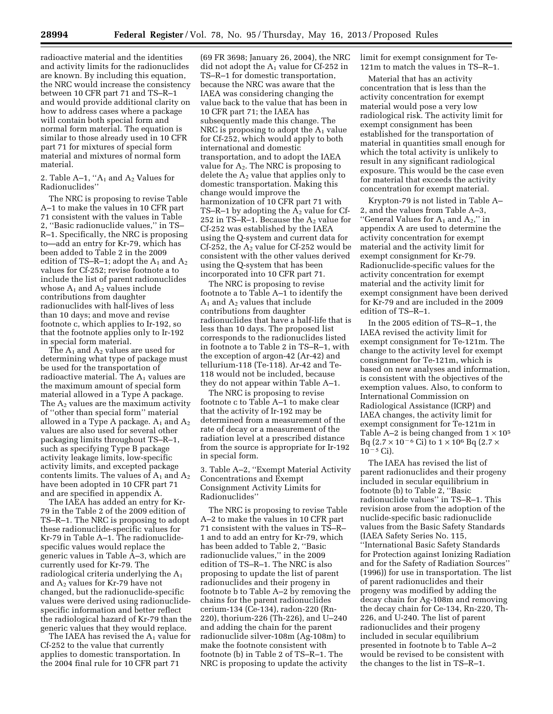radioactive material and the identities and activity limits for the radionuclides are known. By including this equation, the NRC would increase the consistency between 10 CFR part 71 and TS–R–1 and would provide additional clarity on how to address cases where a package will contain both special form and normal form material. The equation is similar to those already used in 10 CFR part 71 for mixtures of special form material and mixtures of normal form material.

2. Table A–1, " $A_1$  and  $A_2$  Values for Radionuclides''

The NRC is proposing to revise Table A–1 to make the values in 10 CFR part 71 consistent with the values in Table 2, ''Basic radionuclide values,'' in TS– R–1. Specifically, the NRC is proposing to—add an entry for Kr-79, which has been added to Table 2 in the 2009 edition of TS–R–1; adopt the  $A_1$  and  $A_2$ values for Cf-252; revise footnote a to include the list of parent radionuclides whose  $A_1$  and  $A_2$  values include contributions from daughter radionuclides with half-lives of less than 10 days; and move and revise footnote c, which applies to Ir-192, so that the footnote applies only to Ir-192 in special form material.

The  $A_1$  and  $A_2$  values are used for determining what type of package must be used for the transportation of radioactive material. The  $A_1$  values are the maximum amount of special form material allowed in a Type A package. The  $A_2$  values are the maximum activity of ''other than special form'' material allowed in a Type A package.  $A_1$  and  $A_2$ values are also used for several other packaging limits throughout TS–R–1, such as specifying Type B package activity leakage limits, low-specific activity limits, and excepted package contents limits. The values of  $A_1$  and  $A_2$ have been adopted in 10 CFR part 71 and are specified in appendix A.

The IAEA has added an entry for Kr-79 in the Table 2 of the 2009 edition of TS–R–1. The NRC is proposing to adopt these radionuclide-specific values for Kr-79 in Table A–1. The radionuclidespecific values would replace the generic values in Table A–3, which are currently used for Kr-79. The radiological criteria underlying the A1 and  $A<sub>2</sub>$  values for Kr-79 have not changed, but the radionuclide-specific values were derived using radionuclidespecific information and better reflect the radiological hazard of Kr-79 than the generic values that they would replace.

The IAEA has revised the  $A_1$  value for Cf-252 to the value that currently applies to domestic transportation. In the 2004 final rule for 10 CFR part 71

(69 FR 3698; January 26, 2004), the NRC did not adopt the  $A_1$  value for Cf-252 in TS–R–1 for domestic transportation, because the NRC was aware that the IAEA was considering changing the value back to the value that has been in 10 CFR part 71; the IAEA has subsequently made this change. The NRC is proposing to adopt the  $A_1$  value for Cf-252, which would apply to both international and domestic transportation, and to adopt the IAEA value for  $A_2$ . The NRC is proposing to delete the  $A_2$  value that applies only to domestic transportation. Making this change would improve the harmonization of 10 CFR part 71 with TS–R–1 by adopting the  $A_2$  value for Cf-252 in TS–R–1. Because the  $A_2$  value for Cf-252 was established by the IAEA using the Q-system and current data for Cf-252, the  $A_2$  value for Cf-252 would be consistent with the other values derived using the Q-system that has been incorporated into 10 CFR part 71.

The NRC is proposing to revise footnote a to Table A–1 to identify the  $A_1$  and  $A_2$  values that include contributions from daughter radionuclides that have a half-life that is less than 10 days. The proposed list corresponds to the radionuclides listed in footnote a to Table 2 in TS–R–1, with the exception of argon-42 (Ar-42) and tellurium-118 (Te-118). Ar-42 and Te-118 would not be included, because they do not appear within Table A–1.

The NRC is proposing to revise footnote c to Table A–1 to make clear that the activity of Ir-192 may be determined from a measurement of the rate of decay or a measurement of the radiation level at a prescribed distance from the source is appropriate for Ir-192 in special form.

3. Table A–2, ''Exempt Material Activity Concentrations and Exempt Consignment Activity Limits for Radionuclides''

The NRC is proposing to revise Table A–2 to make the values in 10 CFR part 71 consistent with the values in TS–R– 1 and to add an entry for Kr-79, which has been added to Table 2, ''Basic radionuclide values,'' in the 2009 edition of TS–R–1. The NRC is also proposing to update the list of parent radionuclides and their progeny in footnote b to Table A–2 by removing the chains for the parent radionuclides cerium-134 (Ce-134), radon-220 (Rn-220), thorium-226 (Th-226), and U–240 and adding the chain for the parent radionuclide silver-108m (Ag-108m) to make the footnote consistent with footnote (b) in Table 2 of TS–R–1. The NRC is proposing to update the activity

limit for exempt consignment for Te-121m to match the values in TS–R–1.

Material that has an activity concentration that is less than the activity concentration for exempt material would pose a very low radiological risk. The activity limit for exempt consignment has been established for the transportation of material in quantities small enough for which the total activity is unlikely to result in any significant radiological exposure. This would be the case even for material that exceeds the activity concentration for exempt material.

Krypton-79 is not listed in Table A– 2, and the values from Table A–3, "General Values for  $A_1$  and  $A_2$ ," in appendix A are used to determine the activity concentration for exempt material and the activity limit for exempt consignment for Kr-79. Radionuclide-specific values for the activity concentration for exempt material and the activity limit for exempt consignment have been derived for Kr-79 and are included in the 2009 edition of TS–R–1.

In the 2005 edition of TS–R–1, the IAEA revised the activity limit for exempt consignment for Te-121m. The change to the activity level for exempt consignment for Te-121m, which is based on new analyses and information, is consistent with the objectives of the exemption values. Also, to conform to International Commission on Radiological Assistance (ICRP) and IAEA changes, the activity limit for exempt consignment for Te-121m in Table A–2 is being changed from  $1 \times 10^5$ Bq  $(2.7 \times 10^{-6} \text{ Ci})$  to  $1 \times 10^{6}$  Bq  $(2.7 \times$  $10^{-5}$  Ci).

The IAEA has revised the list of parent radionuclides and their progeny included in secular equilibrium in footnote (b) to Table 2, ''Basic radionuclide values'' in TS–R–1. This revision arose from the adoption of the nuclide-specific basic radionuclide values from the Basic Safety Standards (IAEA Safety Series No. 115, ''International Basic Safety Standards for Protection against Ionizing Radiation and for the Safety of Radiation Sources'' (1996)) for use in transportation. The list of parent radionuclides and their progeny was modified by adding the decay chain for Ag-108m and removing the decay chain for Ce-134, Rn-220, Th-226, and U-240. The list of parent radionuclides and their progeny included in secular equilibrium presented in footnote b to Table A–2 would be revised to be consistent with the changes to the list in TS–R–1.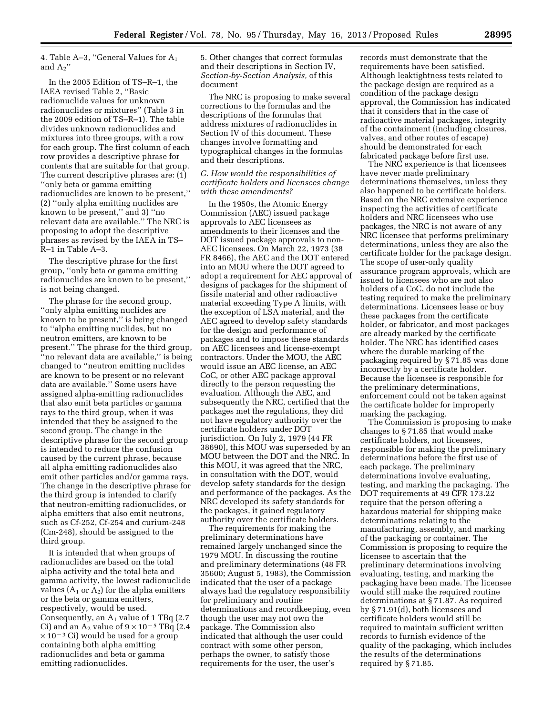4. Table A–3, "General Values for  $A_1$ and  $A<sub>2</sub>$ "

In the 2005 Edition of TS–R–1, the IAEA revised Table 2, ''Basic radionuclide values for unknown radionuclides or mixtures'' (Table 3 in the 2009 edition of TS–R–1). The table divides unknown radionuclides and mixtures into three groups, with a row for each group. The first column of each row provides a descriptive phrase for contents that are suitable for that group. The current descriptive phrases are: (1) ''only beta or gamma emitting radionuclides are known to be present,'' (2) ''only alpha emitting nuclides are known to be present,'' and 3) ''no relevant data are available.'' The NRC is proposing to adopt the descriptive phrases as revised by the IAEA in TS– R–1 in Table A–3.

The descriptive phrase for the first group, ''only beta or gamma emitting radionuclides are known to be present,'' is not being changed.

The phrase for the second group, ''only alpha emitting nuclides are known to be present,'' is being changed to ''alpha emitting nuclides, but no neutron emitters, are known to be present.'' The phrase for the third group, ''no relevant data are available,'' is being changed to ''neutron emitting nuclides are known to be present or no relevant data are available.'' Some users have assigned alpha-emitting radionuclides that also emit beta particles or gamma rays to the third group, when it was intended that they be assigned to the second group. The change in the descriptive phrase for the second group is intended to reduce the confusion caused by the current phrase, because all alpha emitting radionuclides also emit other particles and/or gamma rays. The change in the descriptive phrase for the third group is intended to clarify that neutron-emitting radionuclides, or alpha emitters that also emit neutrons, such as Cf-252, Cf-254 and curium-248 (Cm-248), should be assigned to the third group.

It is intended that when groups of radionuclides are based on the total alpha activity and the total beta and gamma activity, the lowest radionuclide values  $(A_1 \text{ or } A_2)$  for the alpha emitters or the beta or gamma emitters, respectively, would be used. Consequently, an  $A_1$  value of 1 TBq (2.7) Ci) and an  $A_2$  value of  $9 \times 10^{-5}$  TBq (2.4  $\times$  10<sup>-3</sup> Ci) would be used for a group containing both alpha emitting radionuclides and beta or gamma emitting radionuclides.

5. Other changes that correct formulas and their descriptions in Section IV, *Section-by-Section Analysis,* of this document

The NRC is proposing to make several corrections to the formulas and the descriptions of the formulas that address mixtures of radionuclides in Section IV of this document. These changes involve formatting and typographical changes in the formulas and their descriptions.

#### *G. How would the responsibilities of certificate holders and licensees change with these amendments?*

In the 1950s, the Atomic Energy Commission (AEC) issued package approvals to AEC licensees as amendments to their licenses and the DOT issued package approvals to non-AEC licensees. On March 22, 1973 (38 FR 8466), the AEC and the DOT entered into an MOU where the DOT agreed to adopt a requirement for AEC approval of designs of packages for the shipment of fissile material and other radioactive material exceeding Type A limits, with the exception of LSA material, and the AEC agreed to develop safety standards for the design and performance of packages and to impose these standards on AEC licensees and license-exempt contractors. Under the MOU, the AEC would issue an AEC license, an AEC CoC, or other AEC package approval directly to the person requesting the evaluation. Although the AEC, and subsequently the NRC, certified that the packages met the regulations, they did not have regulatory authority over the certificate holders under DOT jurisdiction. On July 2, 1979 (44 FR 38690), this MOU was superseded by an MOU between the DOT and the NRC. In this MOU, it was agreed that the NRC, in consultation with the DOT, would develop safety standards for the design and performance of the packages. As the NRC developed its safety standards for the packages, it gained regulatory authority over the certificate holders.

The requirements for making the preliminary determinations have remained largely unchanged since the 1979 MOU. In discussing the routine and preliminary determinations (48 FR 35600; August 5, 1983), the Commission indicated that the user of a package always had the regulatory responsibility for preliminary and routine determinations and recordkeeping, even though the user may not own the package. The Commission also indicated that although the user could contract with some other person, perhaps the owner, to satisfy those requirements for the user, the user's

records must demonstrate that the requirements have been satisfied. Although leaktightness tests related to the package design are required as a condition of the package design approval, the Commission has indicated that it considers that in the case of radioactive material packages, integrity of the containment (including closures, valves, and other routes of escape) should be demonstrated for each fabricated package before first use.

The NRC experience is that licensees have never made preliminary determinations themselves, unless they also happened to be certificate holders. Based on the NRC extensive experience inspecting the activities of certificate holders and NRC licensees who use packages, the NRC is not aware of any NRC licensee that performs preliminary determinations, unless they are also the certificate holder for the package design. The scope of user-only quality assurance program approvals, which are issued to licensees who are not also holders of a CoC, do not include the testing required to make the preliminary determinations. Licensees lease or buy these packages from the certificate holder, or fabricator, and most packages are already marked by the certificate holder. The NRC has identified cases where the durable marking of the packaging required by § 71.85 was done incorrectly by a certificate holder. Because the licensee is responsible for the preliminary determinations, enforcement could not be taken against the certificate holder for improperly marking the packaging.

The Commission is proposing to make changes to § 71.85 that would make certificate holders, not licensees, responsible for making the preliminary determinations before the first use of each package. The preliminary determinations involve evaluating, testing, and marking the packaging. The DOT requirements at 49 CFR 173.22 require that the person offering a hazardous material for shipping make determinations relating to the manufacturing, assembly, and marking of the packaging or container. The Commission is proposing to require the licensee to ascertain that the preliminary determinations involving evaluating, testing, and marking the packaging have been made. The licensee would still make the required routine determinations at § 71.87. As required by § 71.91(d), both licensees and certificate holders would still be required to maintain sufficient written records to furnish evidence of the quality of the packaging, which includes the results of the determinations required by § 71.85.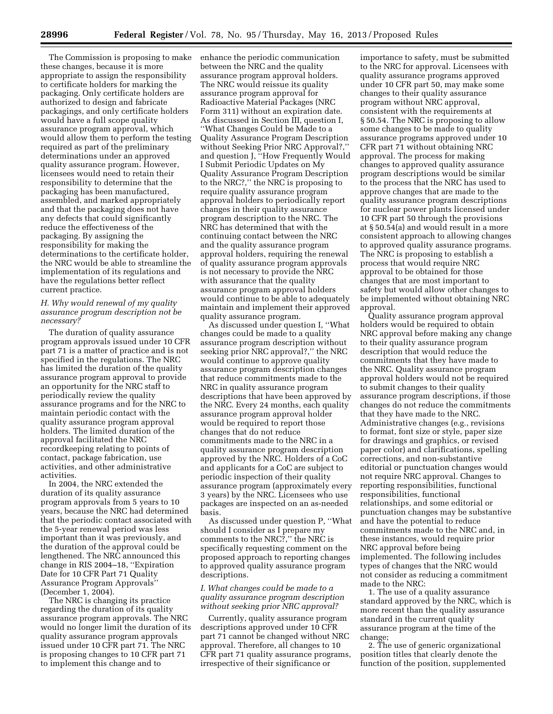The Commission is proposing to make these changes, because it is more appropriate to assign the responsibility to certificate holders for marking the packaging. Only certificate holders are authorized to design and fabricate packagings, and only certificate holders would have a full scope quality assurance program approval, which would allow them to perform the testing required as part of the preliminary determinations under an approved quality assurance program. However, licensees would need to retain their responsibility to determine that the packaging has been manufactured, assembled, and marked appropriately and that the packaging does not have any defects that could significantly reduce the effectiveness of the packaging. By assigning the responsibility for making the determinations to the certificate holder, the NRC would be able to streamline the implementation of its regulations and have the regulations better reflect current practice.

#### *H. Why would renewal of my quality assurance program description not be necessary?*

The duration of quality assurance program approvals issued under 10 CFR part 71 is a matter of practice and is not specified in the regulations. The NRC has limited the duration of the quality assurance program approval to provide an opportunity for the NRC staff to periodically review the quality assurance programs and for the NRC to maintain periodic contact with the quality assurance program approval holders. The limited duration of the approval facilitated the NRC recordkeeping relating to points of contact, package fabrication, use activities, and other administrative activities.

In 2004, the NRC extended the duration of its quality assurance program approvals from 5 years to 10 years, because the NRC had determined that the periodic contact associated with the 5-year renewal period was less important than it was previously, and the duration of the approval could be lengthened. The NRC announced this change in RIS 2004–18, ''Expiration Date for 10 CFR Part 71 Quality Assurance Program Approvals'' (December 1, 2004).

The NRC is changing its practice regarding the duration of its quality assurance program approvals. The NRC would no longer limit the duration of its quality assurance program approvals issued under 10 CFR part 71. The NRC is proposing changes to 10 CFR part 71 to implement this change and to

enhance the periodic communication between the NRC and the quality assurance program approval holders. The NRC would reissue its quality assurance program approval for Radioactive Material Packages (NRC Form 311) without an expiration date. As discussed in Section III, question I, ''What Changes Could be Made to a Quality Assurance Program Description without Seeking Prior NRC Approval?,'' and question J, ''How Frequently Would I Submit Periodic Updates on My Quality Assurance Program Description to the NRC?,'' the NRC is proposing to require quality assurance program approval holders to periodically report changes in their quality assurance program description to the NRC. The NRC has determined that with the continuing contact between the NRC and the quality assurance program approval holders, requiring the renewal of quality assurance program approvals is not necessary to provide the NRC with assurance that the quality assurance program approval holders would continue to be able to adequately maintain and implement their approved quality assurance program.

As discussed under question I, ''What changes could be made to a quality assurance program description without seeking prior NRC approval?,'' the NRC would continue to approve quality assurance program description changes that reduce commitments made to the NRC in quality assurance program descriptions that have been approved by the NRC. Every 24 months, each quality assurance program approval holder would be required to report those changes that do not reduce commitments made to the NRC in a quality assurance program description approved by the NRC. Holders of a CoC and applicants for a CoC are subject to periodic inspection of their quality assurance program (approximately every 3 years) by the NRC. Licensees who use packages are inspected on an as-needed basis.

As discussed under question P, ''What should I consider as I prepare my comments to the NRC?,'' the NRC is specifically requesting comment on the proposed approach to reporting changes to approved quality assurance program descriptions.

#### *I. What changes could be made to a quality assurance program description without seeking prior NRC approval?*

Currently, quality assurance program descriptions approved under 10 CFR part 71 cannot be changed without NRC approval. Therefore, all changes to 10 CFR part 71 quality assurance programs, irrespective of their significance or

importance to safety, must be submitted to the NRC for approval. Licensees with quality assurance programs approved under 10 CFR part 50, may make some changes to their quality assurance program without NRC approval, consistent with the requirements at § 50.54. The NRC is proposing to allow some changes to be made to quality assurance programs approved under 10 CFR part 71 without obtaining NRC approval. The process for making changes to approved quality assurance program descriptions would be similar to the process that the NRC has used to approve changes that are made to the quality assurance program descriptions for nuclear power plants licensed under 10 CFR part 50 through the provisions at § 50.54(a) and would result in a more consistent approach to allowing changes to approved quality assurance programs. The NRC is proposing to establish a process that would require NRC approval to be obtained for those changes that are most important to safety but would allow other changes to be implemented without obtaining NRC approval.

Quality assurance program approval holders would be required to obtain NRC approval before making any change to their quality assurance program description that would reduce the commitments that they have made to the NRC. Quality assurance program approval holders would not be required to submit changes to their quality assurance program descriptions, if those changes do not reduce the commitments that they have made to the NRC. Administrative changes (e.g., revisions to format, font size or style, paper size for drawings and graphics, or revised paper color) and clarifications, spelling corrections, and non-substantive editorial or punctuation changes would not require NRC approval. Changes to reporting responsibilities, functional responsibilities, functional relationships, and some editorial or punctuation changes may be substantive and have the potential to reduce commitments made to the NRC and, in these instances, would require prior NRC approval before being implemented. The following includes types of changes that the NRC would not consider as reducing a commitment made to the NRC:

1. The use of a quality assurance standard approved by the NRC, which is more recent than the quality assurance standard in the current quality assurance program at the time of the change;

2. The use of generic organizational position titles that clearly denote the function of the position, supplemented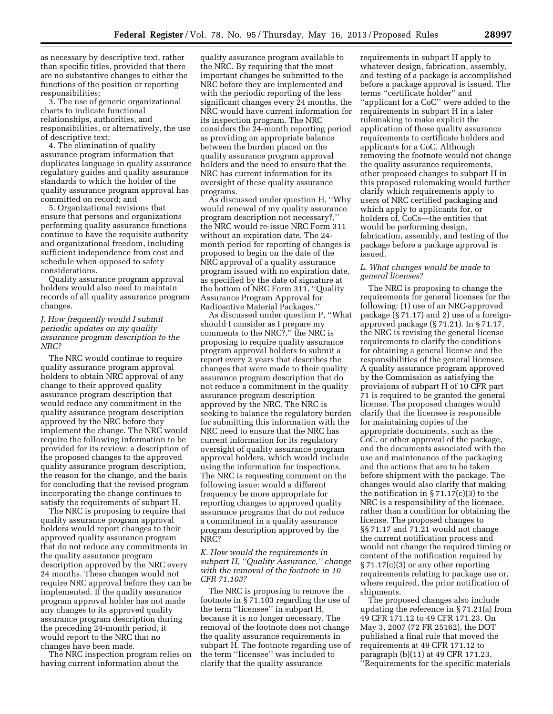as necessary by descriptive text, rather than specific titles, provided that there are no substantive changes to either the functions of the position or reporting responsibilities;

3. The use of generic organizational charts to indicate functional relationships, authorities, and responsibilities, or alternatively, the use of descriptive text;

4. The elimination of quality assurance program information that duplicates language in quality assurance regulatory guides and quality assurance standards to which the holder of the quality assurance program approval has committed on record; and

5. Organizational revisions that ensure that persons and organizations performing quality assurance functions continue to have the requisite authority and organizational freedom, including sufficient independence from cost and schedule when opposed to safety considerations.

Quality assurance program approval holders would also need to maintain records of all quality assurance program changes.

#### *J. How frequently would I submit periodic updates on my quality assurance program description to the NRC?*

The NRC would continue to require quality assurance program approval holders to obtain NRC approval of any change to their approved quality assurance program description that would reduce any commitment in the quality assurance program description approved by the NRC before they implement the change. The NRC would require the following information to be provided for its review: a description of the proposed changes to the approved quality assurance program description, the reason for the change, and the basis for concluding that the revised program incorporating the change continues to satisfy the requirements of subpart H.

The NRC is proposing to require that quality assurance program approval holders would report changes to their approved quality assurance program that do not reduce any commitments in the quality assurance program description approved by the NRC every 24 months. These changes would not require NRC approval before they can be implemented. If the quality assurance program approval holder has not made any changes to its approved quality assurance program description during the preceding 24-month period, it would report to the NRC that no changes have been made.

The NRC inspection program relies on having current information about the

quality assurance program available to the NRC. By requiring that the most important changes be submitted to the NRC before they are implemented and with the periodic reporting of the less significant changes every 24 months, the NRC would have current information for its inspection program. The NRC considers the 24-month reporting period as providing an appropriate balance between the burden placed on the quality assurance program approval holders and the need to ensure that the NRC has current information for its oversight of these quality assurance programs.

As discussed under question H, ''Why would renewal of my quality assurance program description not necessary?,'' the NRC would re-issue NRC Form 311 without an expiration date. The 24 month period for reporting of changes is proposed to begin on the date of the NRC approval of a quality assurance program issued with no expiration date, as specified by the date of signature at the bottom of NRC Form 311, ''Quality Assurance Program Approval for Radioactive Material Packages.''

As discussed under question P, ''What should I consider as I prepare my comments to the NRC?,'' the NRC is proposing to require quality assurance program approval holders to submit a report every 2 years that describes the changes that were made to their quality assurance program description that do not reduce a commitment in the quality assurance program description approved by the NRC. The NRC is seeking to balance the regulatory burden for submitting this information with the NRC need to ensure that the NRC has current information for its regulatory oversight of quality assurance program approval holders, which would include using the information for inspections. The NRC is requesting comment on the following issue: would a different frequency be more appropriate for reporting changes to approved quality assurance programs that do not reduce a commitment in a quality assurance program description approved by the NRC?

#### *K. How would the requirements in subpart H, ''Quality Assurance,'' change with the removal of the footnote in 10 CFR 71.103?*

The NRC is proposing to remove the footnote in § 71.103 regarding the use of the term ''licensee'' in subpart H, because it is no longer necessary. The removal of the footnote does not change the quality assurance requirements in subpart H. The footnote regarding use of the term ''licensee'' was included to clarify that the quality assurance

requirements in subpart H apply to whatever design, fabrication, assembly, and testing of a package is accomplished before a package approval is issued. The terms ''certificate holder'' and ''applicant for a CoC'' were added to the requirements in subpart H in a later rulemaking to make explicit the application of those quality assurance requirements to certificate holders and applicants for a CoC. Although removing the footnote would not change the quality assurance requirements, other proposed changes to subpart H in this proposed rulemaking would further clarify which requirements apply to users of NRC certified packaging and which apply to applicants for, or holders of, CoCs—the entities that would be performing design, fabrication, assembly, and testing of the package before a package approval is issued.

#### *L. What changes would be made to general licenses?*

The NRC is proposing to change the requirements for general licenses for the following: (1) use of an NRC-approved package (§ 71.17) and 2) use of a foreignapproved package (§ 71.21). In § 71.17, the NRC is revising the general license requirements to clarify the conditions for obtaining a general license and the responsibilities of the general licensee. A quality assurance program approved by the Commission as satisfying the provisions of subpart H of 10 CFR part 71 is required to be granted the general license. The proposed changes would clarify that the licensee is responsible for maintaining copies of the appropriate documents, such as the CoC, or other approval of the package, and the documents associated with the use and maintenance of the packaging and the actions that are to be taken before shipment with the package. The changes would also clarify that making the notification in  $\S 71.17(c)(3)$  to the NRC is a responsibility of the licensee, rather than a condition for obtaining the license. The proposed changes to §§ 71.17 and 71.21 would not change the current notification process and would not change the required timing or content of the notification required by § 71.17(c)(3) or any other reporting requirements relating to package use or, where required, the prior notification of shipments.

The proposed changes also include updating the reference in § 71.21(a) from 49 CFR 171.12 to 49 CFR 171.23. On May 3, 2007 (72 FR 25162), the DOT published a final rule that moved the requirements at 49 CFR 171.12 to paragraph (b)(11) at 49 CFR 171.23, ''Requirements for the specific materials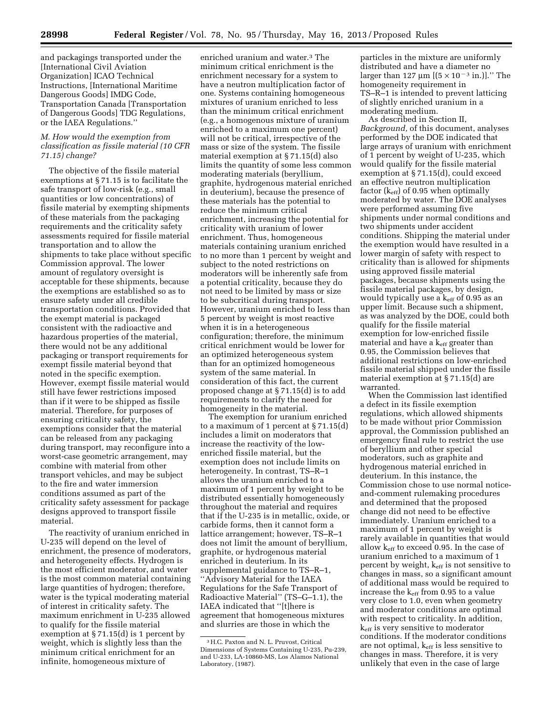and packagings transported under the [International Civil Aviation Organization] ICAO Technical Instructions, [International Maritime Dangerous Goods] IMDG Code, Transportation Canada [Transportation of Dangerous Goods] TDG Regulations, or the IAEA Regulations.''

#### *M. How would the exemption from classification as fissile material (10 CFR 71.15) change?*

The objective of the fissile material exemptions at § 71.15 is to facilitate the safe transport of low-risk (e.g., small quantities or low concentrations) of fissile material by exempting shipments of these materials from the packaging requirements and the criticality safety assessments required for fissile material transportation and to allow the shipments to take place without specific Commission approval. The lower amount of regulatory oversight is acceptable for these shipments, because the exemptions are established so as to ensure safety under all credible transportation conditions. Provided that the exempt material is packaged consistent with the radioactive and hazardous properties of the material, there would not be any additional packaging or transport requirements for exempt fissile material beyond that noted in the specific exemption. However, exempt fissile material would still have fewer restrictions imposed than if it were to be shipped as fissile material. Therefore, for purposes of ensuring criticality safety, the exemptions consider that the material can be released from any packaging during transport, may reconfigure into a worst-case geometric arrangement, may combine with material from other transport vehicles, and may be subject to the fire and water immersion conditions assumed as part of the criticality safety assessment for package designs approved to transport fissile material.

The reactivity of uranium enriched in U-235 will depend on the level of enrichment, the presence of moderators, and heterogeneity effects. Hydrogen is the most efficient moderator, and water is the most common material containing large quantities of hydrogen; therefore, water is the typical moderating material of interest in criticality safety. The maximum enrichment in U-235 allowed to qualify for the fissile material exemption at § 71.15(d) is 1 percent by weight, which is slightly less than the minimum critical enrichment for an infinite, homogeneous mixture of

enriched uranium and water.3 The minimum critical enrichment is the enrichment necessary for a system to have a neutron multiplication factor of one. Systems containing homogeneous mixtures of uranium enriched to less than the minimum critical enrichment (e.g., a homogenous mixture of uranium enriched to a maximum one percent) will not be critical, irrespective of the mass or size of the system. The fissile material exemption at § 71.15(d) also limits the quantity of some less common moderating materials (beryllium, graphite, hydrogenous material enriched in deuterium), because the presence of these materials has the potential to reduce the minimum critical enrichment, increasing the potential for criticality with uranium of lower enrichment. Thus, homogeneous materials containing uranium enriched to no more than 1 percent by weight and subject to the noted restrictions on moderators will be inherently safe from a potential criticality, because they do not need to be limited by mass or size to be subcritical during transport. However, uranium enriched to less than 5 percent by weight is most reactive when it is in a heterogeneous configuration; therefore, the minimum critical enrichment would be lower for an optimized heterogeneous system than for an optimized homogeneous system of the same material. In consideration of this fact, the current proposed change at § 71.15(d) is to add requirements to clarify the need for homogeneity in the material.

The exemption for uranium enriched to a maximum of 1 percent at § 71.15(d) includes a limit on moderators that increase the reactivity of the lowenriched fissile material, but the exemption does not include limits on heterogeneity. In contrast, TS–R–1 allows the uranium enriched to a maximum of 1 percent by weight to be distributed essentially homogeneously throughout the material and requires that if the U-235 is in metallic, oxide, or carbide forms, then it cannot form a lattice arrangement; however, TS–R–1 does not limit the amount of beryllium, graphite, or hydrogenous material enriched in deuterium. In its supplemental guidance to TS–R–1, ''Advisory Material for the IAEA Regulations for the Safe Transport of Radioactive Material'' (TS–G–1.1), the IAEA indicated that ''[t]here is agreement that homogeneous mixtures and slurries are those in which the

particles in the mixture are uniformly distributed and have a diameter no larger than 127  $\mu$ m [( $5 \times 10^{-3}$  in.)]." The homogeneity requirement in TS–R–1 is intended to prevent latticing of slightly enriched uranium in a moderating medium.

As described in Section II, *Background,* of this document, analyses performed by the DOE indicated that large arrays of uranium with enrichment of 1 percent by weight of U-235, which would qualify for the fissile material exemption at § 71.15(d), could exceed an effective neutron multiplication factor  $(k_{\text{eff}})$  of 0.95 when optimally moderated by water. The DOE analyses were performed assuming five shipments under normal conditions and two shipments under accident conditions. Shipping the material under the exemption would have resulted in a lower margin of safety with respect to criticality than is allowed for shipments using approved fissile material packages, because shipments using the fissile material packages, by design, would typically use a  $k_{\text{eff}}$  of 0.95 as an upper limit. Because such a shipment, as was analyzed by the DOE, could both qualify for the fissile material exemption for low-enriched fissile material and have a k<sub>eff</sub> greater than 0.95, the Commission believes that additional restrictions on low-enriched fissile material shipped under the fissile material exemption at § 71.15(d) are warranted.

When the Commission last identified a defect in its fissile exemption regulations, which allowed shipments to be made without prior Commission approval, the Commission published an emergency final rule to restrict the use of beryllium and other special moderators, such as graphite and hydrogenous material enriched in deuterium. In this instance, the Commission chose to use normal noticeand-comment rulemaking procedures and determined that the proposed change did not need to be effective immediately. Uranium enriched to a maximum of 1 percent by weight is rarely available in quantities that would allow  $k_{\text{eff}}$  to exceed 0.95. In the case of uranium enriched to a maximum of 1 percent by weight, k<sub>eff</sub> is not sensitive to changes in mass, so a significant amount of additional mass would be required to increase the  $k_{\text{eff}}$  from 0.95 to a value very close to 1.0, even when geometry and moderator conditions are optimal with respect to criticality. In addition, keff is very sensitive to moderator conditions. If the moderator conditions are not optimal,  $k_{\text{eff}}$  is less sensitive to changes in mass. Therefore, it is very unlikely that even in the case of large

<sup>3</sup>H.C. Paxton and N. L. Pruvost, Critical Dimensions of Systems Containing U-235, Pu-239, and U-233, LA-10860-MS, Los Alamos National Laboratory, (1987).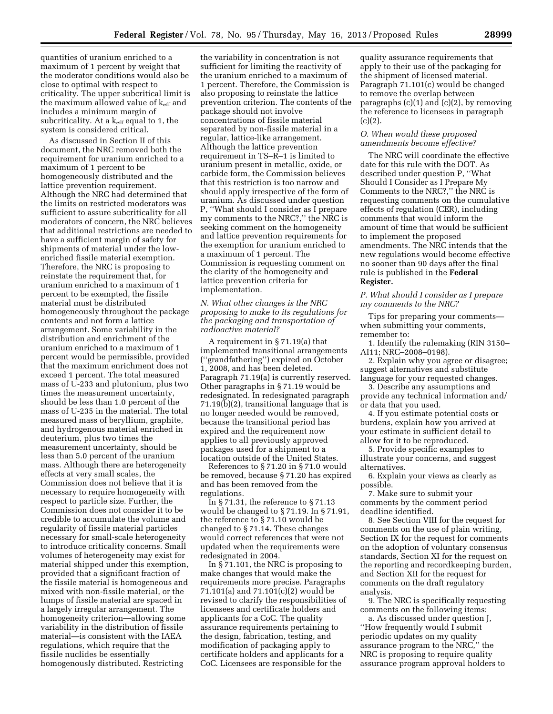quantities of uranium enriched to a maximum of 1 percent by weight that the moderator conditions would also be close to optimal with respect to criticality. The upper subcritical limit is the maximum allowed value of  $k_{\text{eff}}$  and includes a minimum margin of subcriticality. At a  $k_{\text{eff}}$  equal to 1, the system is considered critical.

As discussed in Section II of this document, the NRC removed both the requirement for uranium enriched to a maximum of 1 percent to be homogeneously distributed and the lattice prevention requirement. Although the NRC had determined that the limits on restricted moderators was sufficient to assure subcriticality for all moderators of concern, the NRC believes that additional restrictions are needed to have a sufficient margin of safety for shipments of material under the lowenriched fissile material exemption. Therefore, the NRC is proposing to reinstate the requirement that, for uranium enriched to a maximum of 1 percent to be exempted, the fissile material must be distributed homogeneously throughout the package contents and not form a lattice arrangement. Some variability in the distribution and enrichment of the uranium enriched to a maximum of 1 percent would be permissible, provided that the maximum enrichment does not exceed 1 percent. The total measured mass of U-233 and plutonium, plus two times the measurement uncertainty, should be less than 1.0 percent of the mass of U-235 in the material. The total measured mass of beryllium, graphite, and hydrogenous material enriched in deuterium, plus two times the measurement uncertainty, should be less than 5.0 percent of the uranium mass. Although there are heterogeneity effects at very small scales, the Commission does not believe that it is necessary to require homogeneity with respect to particle size. Further, the Commission does not consider it to be credible to accumulate the volume and regularity of fissile material particles necessary for small-scale heterogeneity to introduce criticality concerns. Small volumes of heterogeneity may exist for material shipped under this exemption, provided that a significant fraction of the fissile material is homogeneous and mixed with non-fissile material, or the lumps of fissile material are spaced in a largely irregular arrangement. The homogeneity criterion—allowing some variability in the distribution of fissile material—is consistent with the IAEA regulations, which require that the fissile nuclides be essentially homogenously distributed. Restricting

the variability in concentration is not sufficient for limiting the reactivity of the uranium enriched to a maximum of 1 percent. Therefore, the Commission is also proposing to reinstate the lattice prevention criterion. The contents of the package should not involve concentrations of fissile material separated by non-fissile material in a regular, lattice-like arrangement. Although the lattice prevention requirement in TS–R–1 is limited to uranium present in metallic, oxide, or carbide form, the Commission believes that this restriction is too narrow and should apply irrespective of the form of uranium. As discussed under question P, ''What should I consider as I prepare my comments to the NRC?,'' the NRC is seeking comment on the homogeneity and lattice prevention requirements for the exemption for uranium enriched to a maximum of 1 percent. The Commission is requesting comment on the clarity of the homogeneity and lattice prevention criteria for implementation.

#### *N. What other changes is the NRC proposing to make to its regulations for the packaging and transportation of radioactive material?*

A requirement in § 71.19(a) that implemented transitional arrangements (''grandfathering'') expired on October 1, 2008, and has been deleted. Paragraph 71.19(a) is currently reserved. Other paragraphs in § 71.19 would be redesignated. In redesignated paragraph 71.19(b)(2), transitional language that is no longer needed would be removed, because the transitional period has expired and the requirement now applies to all previously approved packages used for a shipment to a location outside of the United States.

References to § 71.20 in § 71.0 would be removed, because § 71.20 has expired and has been removed from the regulations.

In §71.31, the reference to §71.13 would be changed to § 71.19. In § 71.91, the reference to § 71.10 would be changed to § 71.14. These changes would correct references that were not updated when the requirements were redesignated in 2004.

In § 71.101, the NRC is proposing to make changes that would make the requirements more precise. Paragraphs 71.101(a) and 71.101(c)(2) would be revised to clarify the responsibilities of licensees and certificate holders and applicants for a CoC. The quality assurance requirements pertaining to the design, fabrication, testing, and modification of packaging apply to certificate holders and applicants for a CoC. Licensees are responsible for the

quality assurance requirements that apply to their use of the packaging for the shipment of licensed material. Paragraph 71.101(c) would be changed to remove the overlap between paragraphs  $(c)(1)$  and  $(c)(2)$ , by removing the reference to licensees in paragraph  $(c)(2)$ .

#### *O. When would these proposed amendments become effective?*

The NRC will coordinate the effective date for this rule with the DOT. As described under question P, ''What Should I Consider as I Prepare My Comments to the NRC?,'' the NRC is requesting comments on the cumulative effects of regulation (CER), including comments that would inform the amount of time that would be sufficient to implement the proposed amendments. The NRC intends that the new regulations would become effective no sooner than 90 days after the final rule is published in the **Federal Register.** 

#### *P. What should I consider as I prepare my comments to the NRC?*

Tips for preparing your comments when submitting your comments, remember to:

1. Identify the rulemaking (RIN 3150– AI11; NRC–2008–0198).

2. Explain why you agree or disagree; suggest alternatives and substitute language for your requested changes.

3. Describe any assumptions and provide any technical information and/ or data that you used.

4. If you estimate potential costs or burdens, explain how you arrived at your estimate in sufficient detail to allow for it to be reproduced.

5. Provide specific examples to illustrate your concerns, and suggest alternatives.

6. Explain your views as clearly as possible.

7. Make sure to submit your comments by the comment period deadline identified.

8. See Section VIII for the request for comments on the use of plain writing, Section IX for the request for comments on the adoption of voluntary consensus standards, Section XI for the request on the reporting and recordkeeping burden, and Section XII for the request for comments on the draft regulatory analysis.

9. The NRC is specifically requesting comments on the following items:

a. As discussed under question J, ''How frequently would I submit periodic updates on my quality assurance program to the NRC,'' the NRC is proposing to require quality assurance program approval holders to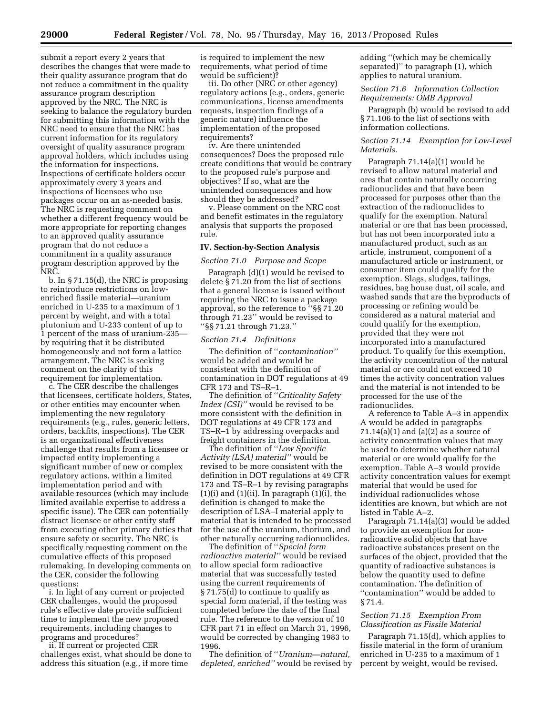submit a report every 2 years that describes the changes that were made to their quality assurance program that do not reduce a commitment in the quality assurance program description approved by the NRC. The NRC is seeking to balance the regulatory burden for submitting this information with the NRC need to ensure that the NRC has current information for its regulatory oversight of quality assurance program approval holders, which includes using the information for inspections. Inspections of certificate holders occur approximately every 3 years and inspections of licensees who use packages occur on an as-needed basis. The NRC is requesting comment on whether a different frequency would be more appropriate for reporting changes to an approved quality assurance program that do not reduce a commitment in a quality assurance program description approved by the NRC.

b. In § 71.15(d), the NRC is proposing to reintroduce restrictions on lowenriched fissile material—uranium enriched in U-235 to a maximum of 1 percent by weight, and with a total plutonium and U-233 content of up to 1 percent of the mass of uranium-235 by requiring that it be distributed homogeneously and not form a lattice arrangement. The NRC is seeking comment on the clarity of this requirement for implementation.

c. The CER describe the challenges that licensees, certificate holders, States, or other entities may encounter when implementing the new regulatory requirements (e.g., rules, generic letters, orders, backfits, inspections). The CER is an organizational effectiveness challenge that results from a licensee or impacted entity implementing a significant number of new or complex regulatory actions, within a limited implementation period and with available resources (which may include limited available expertise to address a specific issue). The CER can potentially distract licensee or other entity staff from executing other primary duties that ensure safety or security. The NRC is specifically requesting comment on the cumulative effects of this proposed rulemaking. In developing comments on the CER, consider the following questions:

i. In light of any current or projected CER challenges, would the proposed rule's effective date provide sufficient time to implement the new proposed requirements, including changes to programs and procedures?

ii. If current or projected CER challenges exist, what should be done to address this situation (e.g., if more time

is required to implement the new requirements, what period of time would be sufficient)?

iii. Do other (NRC or other agency) regulatory actions (e.g., orders, generic communications, license amendments requests, inspection findings of a generic nature) influence the implementation of the proposed requirements?

iv. Are there unintended consequences? Does the proposed rule create conditions that would be contrary to the proposed rule's purpose and objectives? If so, what are the unintended consequences and how should they be addressed?

v. Please comment on the NRC cost and benefit estimates in the regulatory analysis that supports the proposed rule.

#### **IV. Section-by-Section Analysis**

*Section 71.0 Purpose and Scope* 

Paragraph (d)(1) would be revised to delete § 71.20 from the list of sections that a general license is issued without requiring the NRC to issue a package approval, so the reference to ''§§ 71.20 through 71.23'' would be revised to ''§§ 71.21 through 71.23.''

#### *Section 71.4 Definitions*

The definition of ''*contamination''*  would be added and would be consistent with the definition of contamination in DOT regulations at 49 CFR 173 and TS–R–1.

The definition of ''*Criticality Safety Index (CSI)''* would be revised to be more consistent with the definition in DOT regulations at 49 CFR 173 and TS–R–1 by addressing overpacks and freight containers in the definition.

The definition of ''*Low Specific Activity (LSA) material''* would be revised to be more consistent with the definition in DOT regulations at 49 CFR 173 and TS–R–1 by revising paragraphs  $(1)(i)$  and  $(1)(ii)$ . In paragraph  $(1)(i)$ , the definition is changed to make the description of LSA–I material apply to material that is intended to be processed for the use of the uranium, thorium, and other naturally occurring radionuclides.

The definition of ''*Special form radioactive material''* would be revised to allow special form radioactive material that was successfully tested using the current requirements of § 71.75(d) to continue to qualify as special form material, if the testing was completed before the date of the final rule. The reference to the version of 10 CFR part 71 in effect on March 31, 1996, would be corrected by changing 1983 to 1996.

The definition of ''*Uranium—natural, depleted, enriched''* would be revised by adding ''(which may be chemically separated)'' to paragraph (1), which applies to natural uranium.

#### *Section 71.6 Information Collection Requirements: OMB Approval*

Paragraph (b) would be revised to add §71.106 to the list of sections with information collections.

#### *Section 71.14 Exemption for Low-Level Materials.*

Paragraph 71.14(a)(1) would be revised to allow natural material and ores that contain naturally occurring radionuclides and that have been processed for purposes other than the extraction of the radionuclides to qualify for the exemption. Natural material or ore that has been processed, but has not been incorporated into a manufactured product, such as an article, instrument, component of a manufactured article or instrument, or consumer item could qualify for the exemption. Slags, sludges, tailings, residues, bag house dust, oil scale, and washed sands that are the byproducts of processing or refining would be considered as a natural material and could qualify for the exemption, provided that they were not incorporated into a manufactured product. To qualify for this exemption, the activity concentration of the natural material or ore could not exceed 10 times the activity concentration values and the material is not intended to be processed for the use of the radionuclides.

A reference to Table A–3 in appendix A would be added in paragraphs  $71.14(a)(1)$  and  $(a)(2)$  as a source of activity concentration values that may be used to determine whether natural material or ore would qualify for the exemption. Table A–3 would provide activity concentration values for exempt material that would be used for individual radionuclides whose identities are known, but which are not listed in Table A–2.

Paragraph 71.14(a)(3) would be added to provide an exemption for nonradioactive solid objects that have radioactive substances present on the surfaces of the object, provided that the quantity of radioactive substances is below the quantity used to define contamination. The definition of ''contamination'' would be added to § 71.4.

#### *Section 71.15 Exemption From Classification as Fissile Material*

Paragraph 71.15(d), which applies to fissile material in the form of uranium enriched in U-235 to a maximum of 1 percent by weight, would be revised.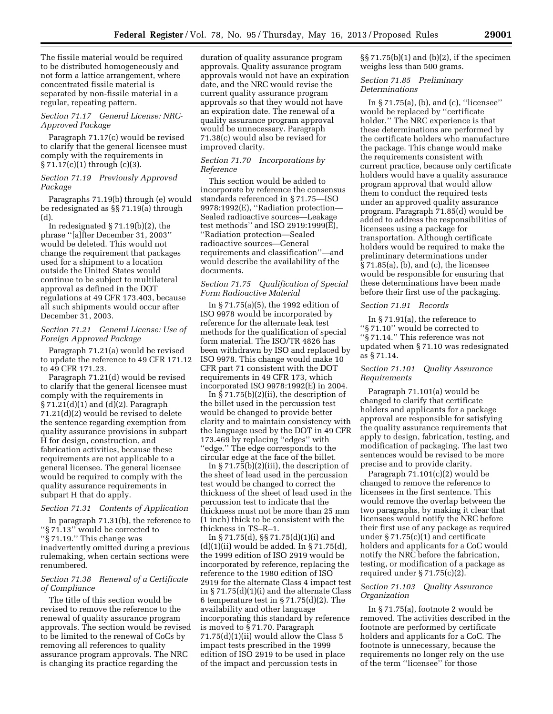The fissile material would be required to be distributed homogeneously and not form a lattice arrangement, where concentrated fissile material is separated by non-fissile material in a regular, repeating pattern.

#### *Section 71.17 General License: NRC-Approved Package*

Paragraph 71.17(c) would be revised to clarify that the general licensee must comply with the requirements in § 71.17(c)(1) through (c)(3).

#### *Section 71.19 Previously Approved Package*

Paragraphs 71.19(b) through (e) would be redesignated as §§ 71.19(a) through (d).

In redesignated  $\S 71.19(b)(2)$ , the phrase ''[a]fter December 31, 2003'' would be deleted. This would not change the requirement that packages used for a shipment to a location outside the United States would continue to be subject to multilateral approval as defined in the DOT regulations at 49 CFR 173.403, because all such shipments would occur after December 31, 2003.

#### *Section 71.21 General License: Use of Foreign Approved Package*

Paragraph 71.21(a) would be revised to update the reference to 49 CFR 171.12 to 49 CFR 171.23.

Paragraph 71.21(d) would be revised to clarify that the general licensee must comply with the requirements in § 71.21(d)(1) and (d)(2). Paragraph 71.21(d)(2) would be revised to delete the sentence regarding exemption from quality assurance provisions in subpart H for design, construction, and fabrication activities, because these requirements are not applicable to a general licensee. The general licensee would be required to comply with the quality assurance requirements in subpart H that do apply.

#### *Section 71.31 Contents of Application*

In paragraph 71.31(b), the reference to ''§ 71.13'' would be corrected to ''§ 71.19.'' This change was inadvertently omitted during a previous rulemaking, when certain sections were renumbered.

#### *Section 71.38 Renewal of a Certificate of Compliance*

The title of this section would be revised to remove the reference to the renewal of quality assurance program approvals. The section would be revised to be limited to the renewal of CoCs by removing all references to quality assurance program approvals. The NRC is changing its practice regarding the

duration of quality assurance program approvals. Quality assurance program approvals would not have an expiration date, and the NRC would revise the current quality assurance program approvals so that they would not have an expiration date. The renewal of a quality assurance program approval would be unnecessary. Paragraph 71.38(c) would also be revised for improved clarity.

#### *Section 71.70 Incorporations by Reference*

This section would be added to incorporate by reference the consensus standards referenced in § 71.75—ISO 9978:1992(E), ''Radiation protection— Sealed radioactive sources—Leakage test methods'' and ISO 2919:1999(E), ''Radiation protection—Sealed radioactive sources—General requirements and classification''—and would describe the availability of the documents.

#### *Section 71.75 Qualification of Special Form Radioactive Material*

In § 71.75(a)(5), the 1992 edition of ISO 9978 would be incorporated by reference for the alternate leak test methods for the qualification of special form material. The ISO/TR 4826 has been withdrawn by ISO and replaced by ISO 9978. This change would make 10 CFR part 71 consistent with the DOT requirements in 49 CFR 173, which incorporated ISO 9978:1992(E) in 2004.

In § 71.75(b)(2)(ii), the description of the billet used in the percussion test would be changed to provide better clarity and to maintain consistency with the language used by the DOT in 49 CFR 173.469 by replacing ''edges'' with "edge." The edge corresponds to the circular edge at the face of the billet.

In  $\S 71.75(b)(2)(iii)$ , the description of the sheet of lead used in the percussion test would be changed to correct the thickness of the sheet of lead used in the percussion test to indicate that the thickness must not be more than 25 mm (1 inch) thick to be consistent with the thickness in TS–R–1.

In § 71.75(d), §§ 71.75(d)(1)(i) and (d)(1)(ii) would be added. In § 71.75(d), the 1999 edition of ISO 2919 would be incorporated by reference, replacing the reference to the 1980 edition of ISO 2919 for the alternate Class 4 impact test in § 71.75(d)(1)(i) and the alternate Class 6 temperature test in § 71.75(d)(2). The availability and other language incorporating this standard by reference is moved to § 71.70. Paragraph 71.75(d)(1)(ii) would allow the Class 5 impact tests prescribed in the 1999 edition of ISO 2919 to be used in place of the impact and percussion tests in

§§ 71.75(b)(1) and (b)(2), if the specimen weighs less than 500 grams.

#### *Section 71.85 Preliminary Determinations*

In § 71.75(a), (b), and (c), ''licensee'' would be replaced by ''certificate holder.'' The NRC experience is that these determinations are performed by the certificate holders who manufacture the package. This change would make the requirements consistent with current practice, because only certificate holders would have a quality assurance program approval that would allow them to conduct the required tests under an approved quality assurance program. Paragraph 71.85(d) would be added to address the responsibilities of licensees using a package for transportation. Although certificate holders would be required to make the preliminary determinations under § 71.85(a), (b), and (c), the licensee would be responsible for ensuring that these determinations have been made before their first use of the packaging.

#### *Section 71.91 Records*

In § 71.91(a), the reference to ''§ 71.10'' would be corrected to ''§ 71.14.'' This reference was not updated when § 71.10 was redesignated as § 71.14.

#### *Section 71.101 Quality Assurance Requirements*

Paragraph 71.101(a) would be changed to clarify that certificate holders and applicants for a package approval are responsible for satisfying the quality assurance requirements that apply to design, fabrication, testing, and modification of packaging. The last two sentences would be revised to be more precise and to provide clarity.

Paragraph 71.101(c)(2) would be changed to remove the reference to licensees in the first sentence. This would remove the overlap between the two paragraphs, by making it clear that licensees would notify the NRC before their first use of any package as required under § 71.75(c)(1) and certificate holders and applicants for a CoC would notify the NRC before the fabrication, testing, or modification of a package as required under  $\S 71.75(c)(2)$ .

#### *Section 71.103 Quality Assurance Organization*

In § 71.75(a), footnote 2 would be removed. The activities described in the footnote are performed by certificate holders and applicants for a CoC. The footnote is unnecessary, because the requirements no longer rely on the use of the term ''licensee'' for those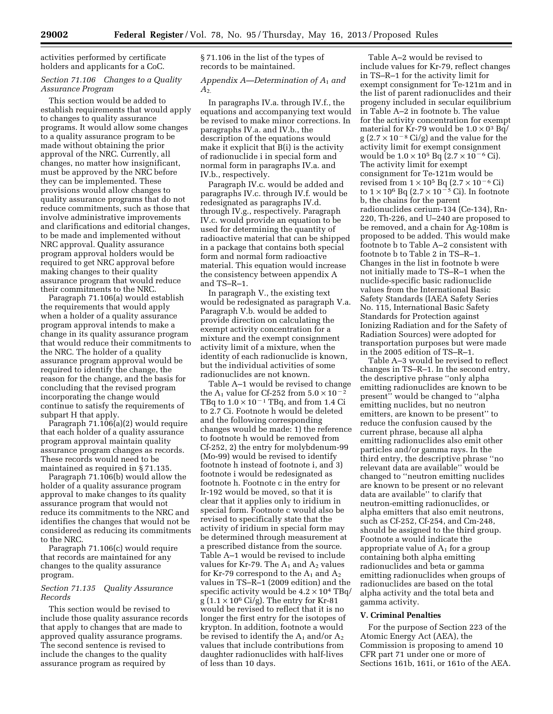activities performed by certificate holders and applicants for a CoC.

#### *Section 71.106 Changes to a Quality Assurance Program*

This section would be added to establish requirements that would apply to changes to quality assurance programs. It would allow some changes to a quality assurance program to be made without obtaining the prior approval of the NRC. Currently, all changes, no matter how insignificant, must be approved by the NRC before they can be implemented. These provisions would allow changes to quality assurance programs that do not reduce commitments, such as those that involve administrative improvements and clarifications and editorial changes, to be made and implemented without NRC approval. Quality assurance program approval holders would be required to get NRC approval before making changes to their quality assurance program that would reduce their commitments to the NRC.

Paragraph 71.106(a) would establish the requirements that would apply when a holder of a quality assurance program approval intends to make a change in its quality assurance program that would reduce their commitments to the NRC. The holder of a quality assurance program approval would be required to identify the change, the reason for the change, and the basis for concluding that the revised program incorporating the change would continue to satisfy the requirements of subpart H that apply.

Paragraph 71.106(a)(2) would require that each holder of a quality assurance program approval maintain quality assurance program changes as records. These records would need to be maintained as required in § 71.135.

Paragraph 71.106(b) would allow the holder of a quality assurance program approval to make changes to its quality assurance program that would not reduce its commitments to the NRC and identifies the changes that would not be considered as reducing its commitments to the NRC.

Paragraph 71.106(c) would require that records are maintained for any changes to the quality assurance program.

#### *Section 71.135 Quality Assurance Records*

This section would be revised to include those quality assurance records that apply to changes that are made to approved quality assurance programs. The second sentence is revised to include the changes to the quality assurance program as required by

§ 71.106 in the list of the types of records to be maintained.

#### *Appendix A—Determination of A*1 *and A*2.

In paragraphs IV.a. through IV.f., the equations and accompanying text would be revised to make minor corrections. In paragraphs IV.a. and IV.b., the description of the equations would make it explicit that B(i) is the activity of radionuclide i in special form and normal form in paragraphs IV.a. and IV.b., respectively.

Paragraph IV.c. would be added and paragraphs IV.c. through IV.f. would be redesignated as paragraphs IV.d. through IV.g., respectively. Paragraph IV.c. would provide an equation to be used for determining the quantity of radioactive material that can be shipped in a package that contains both special form and normal form radioactive material. This equation would increase the consistency between appendix A and TS–R–1.

In paragraph V., the existing text would be redesignated as paragraph V.a. Paragraph V.b. would be added to provide direction on calculating the exempt activity concentration for a mixture and the exempt consignment activity limit of a mixture, when the identity of each radionuclide is known, but the individual activities of some radionuclides are not known.

Table A–1 would be revised to change the A<sub>1</sub> value for Cf-252 from  $5.0 \times 10^{-2}$ TBq to  $1.0 \times 10^{-1}$  TBq, and from 1.4 Ci to 2.7 Ci. Footnote h would be deleted and the following corresponding changes would be made: 1) the reference to footnote h would be removed from Cf-252, 2) the entry for molybdenum-99 (Mo-99) would be revised to identify footnote h instead of footnote i, and 3) footnote i would be redesignated as footnote h. Footnote c in the entry for Ir-192 would be moved, so that it is clear that it applies only to iridium in special form. Footnote c would also be revised to specifically state that the activity of iridium in special form may be determined through measurement at a prescribed distance from the source. Table A–1 would be revised to include values for Kr-79. The  $A_1$  and  $A_2$  values for Kr-79 correspond to the  $A_1$  and  $A_2$ values in TS–R–1 (2009 edition) and the specific activity would be  $4.2 \times 10^4$  TBq/ g  $(1.1 \times 10^6 \text{ Ci/g})$ . The entry for Kr-81 would be revised to reflect that it is no longer the first entry for the isotopes of krypton. In addition, footnote a would be revised to identify the  $A_1$  and/or  $A_2$ values that include contributions from daughter radionuclides with half-lives of less than 10 days.

Table A–2 would be revised to include values for Kr-79, reflect changes in TS–R–1 for the activity limit for exempt consignment for Te-121m and in the list of parent radionuclides and their progeny included in secular equilibrium in Table A–2 in footnote b. The value for the activity concentration for exempt material for Kr-79 would be  $1.0 \times 0^3$  Bq/  $g$  (2.7  $\times$  10<sup>-8</sup> Ci/g) and the value for the activity limit for exempt consignment would be  $1.0 \times 10^5$  Bq  $(2.7 \times 10^{-6}$  Ci). The activity limit for exempt consignment for Te-121m would be revised from  $1 \times 10^5$  Bq  $(2.7 \times 10^{-6}$  Ci) to  $1 \times 10^6$  Bq  $(2.7 \times 10^{-5}$  Ci). In footnote b, the chains for the parent radionuclides cerium-134 (Ce-134), Rn-220, Th-226, and U–240 are proposed to be removed, and a chain for Ag-108m is proposed to be added. This would make footnote b to Table A–2 consistent with footnote b to Table 2 in TS–R–1. Changes in the list in footnote b were not initially made to TS–R–1 when the nuclide-specific basic radionuclide values from the International Basic Safety Standards (IAEA Safety Series No. 115, International Basic Safety Standards for Protection against Ionizing Radiation and for the Safety of Radiation Sources) were adopted for transportation purposes but were made in the 2005 edition of TS–R–1.

Table A–3 would be revised to reflect changes in TS–R–1. In the second entry, the descriptive phrase ''only alpha emitting radionuclides are known to be present'' would be changed to ''alpha emitting nuclides, but no neutron emitters, are known to be present'' to reduce the confusion caused by the current phrase, because all alpha emitting radionuclides also emit other particles and/or gamma rays. In the third entry, the descriptive phrase ''no relevant data are available'' would be changed to ''neutron emitting nuclides are known to be present or no relevant data are available'' to clarify that neutron-emitting radionuclides, or alpha emitters that also emit neutrons, such as Cf-252, Cf-254, and Cm-248, should be assigned to the third group. Footnote a would indicate the appropriate value of  $A_1$  for a group containing both alpha emitting radionuclides and beta or gamma emitting radionuclides when groups of radionuclides are based on the total alpha activity and the total beta and gamma activity.

#### **V. Criminal Penalties**

For the purpose of Section 223 of the Atomic Energy Act (AEA), the Commission is proposing to amend 10 CFR part 71 under one or more of Sections 161b, 161i, or 161o of the AEA.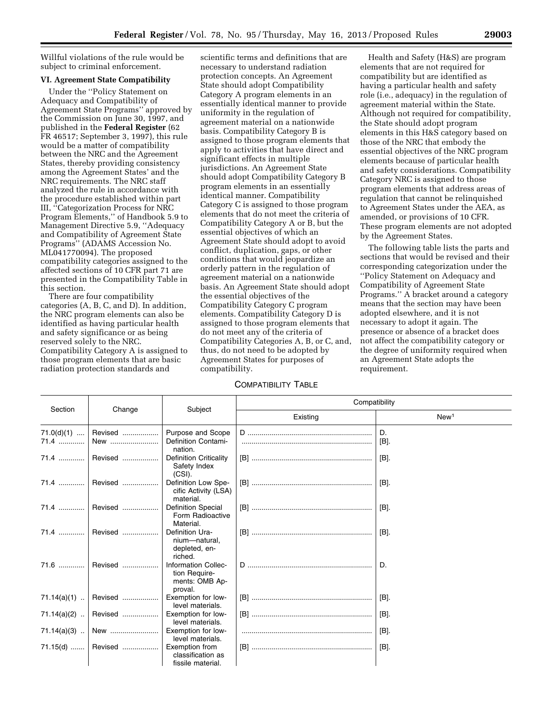Willful violations of the rule would be subject to criminal enforcement.

#### **VI. Agreement State Compatibility**

Under the ''Policy Statement on Adequacy and Compatibility of Agreement State Programs'' approved by the Commission on June 30, 1997, and published in the **Federal Register** (62 FR 46517; September 3, 1997), this rule would be a matter of compatibility between the NRC and the Agreement States, thereby providing consistency among the Agreement States' and the NRC requirements. The NRC staff analyzed the rule in accordance with the procedure established within part III, ''Categorization Process for NRC Program Elements,'' of Handbook 5.9 to Management Directive 5.9, ''Adequacy and Compatibility of Agreement State Programs'' (ADAMS Accession No. ML041770094). The proposed compatibility categories assigned to the affected sections of 10 CFR part 71 are presented in the Compatibility Table in this section.

There are four compatibility categories (A, B, C, and D). In addition, the NRC program elements can also be identified as having particular health and safety significance or as being reserved solely to the NRC. Compatibility Category A is assigned to those program elements that are basic radiation protection standards and

scientific terms and definitions that are necessary to understand radiation protection concepts. An Agreement State should adopt Compatibility Category A program elements in an essentially identical manner to provide uniformity in the regulation of agreement material on a nationwide basis. Compatibility Category B is assigned to those program elements that apply to activities that have direct and significant effects in multiple jurisdictions. An Agreement State should adopt Compatibility Category B program elements in an essentially identical manner. Compatibility Category C is assigned to those program elements that do not meet the criteria of Compatibility Category A or B, but the essential objectives of which an Agreement State should adopt to avoid conflict, duplication, gaps, or other conditions that would jeopardize an orderly pattern in the regulation of agreement material on a nationwide basis. An Agreement State should adopt the essential objectives of the Compatibility Category C program elements. Compatibility Category D is assigned to those program elements that do not meet any of the criteria of Compatibility Categories A, B, or C, and, thus, do not need to be adopted by Agreement States for purposes of compatibility.

#### COMPATIBILITY TABLE

Health and Safety (H&S) are program elements that are not required for compatibility but are identified as having a particular health and safety role (i.e., adequacy) in the regulation of agreement material within the State. Although not required for compatibility, the State should adopt program elements in this H&S category based on those of the NRC that embody the essential objectives of the NRC program elements because of particular health and safety considerations. Compatibility Category NRC is assigned to those program elements that address areas of regulation that cannot be relinquished to Agreement States under the AEA, as amended, or provisions of 10 CFR. These program elements are not adopted by the Agreement States.

The following table lists the parts and sections that would be revised and their corresponding categorization under the ''Policy Statement on Adequacy and Compatibility of Agreement State Programs.'' A bracket around a category means that the section may have been adopted elsewhere, and it is not necessary to adopt it again. The presence or absence of a bracket does not affect the compatibility category or the degree of uniformity required when an Agreement State adopts the requirement.

|                      | Section<br>Change |                                                                   | Compatibility |                  |  |  |
|----------------------|-------------------|-------------------------------------------------------------------|---------------|------------------|--|--|
|                      |                   | Subject                                                           | Existing      | New <sup>1</sup> |  |  |
| $71.0(d)(1)$<br>71.4 | Revised<br>New    | Purpose and Scope<br><b>Definition Contami-</b><br>nation.        |               | D.<br>[B].       |  |  |
|                      | 71.4  Revised     | <b>Definition Criticality</b><br>Safety Index<br>$(CSI)$ .        |               | $[B]$ .          |  |  |
|                      | 71.4  Revised     | Definition Low Spe-<br>cific Activity (LSA)<br>material.          |               | [B].             |  |  |
|                      | 71.4    Revised   | <b>Definition Special</b><br>Form Radioactive<br>Material.        |               | [B].             |  |  |
|                      | Revised           | Definition Ura-<br>nium-natural,<br>depleted, en-<br>riched.      |               | $[B]$ .          |  |  |
| 71.6                 | Revised           | Information Collec-<br>tion Require-<br>ments: OMB Ap-<br>proval. |               | D.               |  |  |
| $71.14(a)(1)$        | Revised           | Exemption for low-<br>level materials.                            |               | [B].             |  |  |
| 71.14(a)(2)          | Revised           | Exemption for low-<br>level materials.                            |               | [B].             |  |  |
| $71.14(a)(3)$        | New               | Exemption for low-<br>level materials.                            |               | [B].             |  |  |
|                      | 71.15(d)  Revised | Exemption from<br>classification as<br>fissile material.          |               | [B].             |  |  |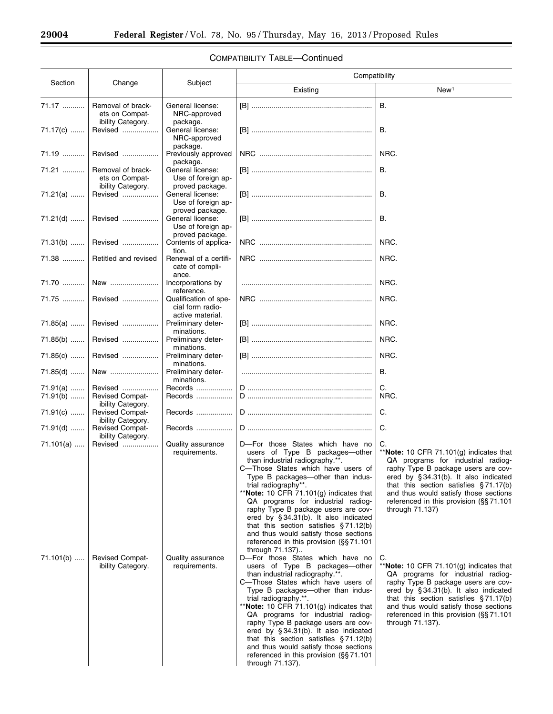$\equiv$ 

▀

|                            |                                                                  |                                                                          | Compatibility                                                                                                                                                                                                                                                                                                                                                                                                                                                                                                                                                                                                                                                                                                                                                                                                                                                                                                                                                                                                                                |                                                                                                                                                                                                                                                                                                                                                                                                                                                                                                                                                                                                                                                            |  |  |
|----------------------------|------------------------------------------------------------------|--------------------------------------------------------------------------|----------------------------------------------------------------------------------------------------------------------------------------------------------------------------------------------------------------------------------------------------------------------------------------------------------------------------------------------------------------------------------------------------------------------------------------------------------------------------------------------------------------------------------------------------------------------------------------------------------------------------------------------------------------------------------------------------------------------------------------------------------------------------------------------------------------------------------------------------------------------------------------------------------------------------------------------------------------------------------------------------------------------------------------------|------------------------------------------------------------------------------------------------------------------------------------------------------------------------------------------------------------------------------------------------------------------------------------------------------------------------------------------------------------------------------------------------------------------------------------------------------------------------------------------------------------------------------------------------------------------------------------------------------------------------------------------------------------|--|--|
| Section                    | Change                                                           | Subject                                                                  | Existing                                                                                                                                                                                                                                                                                                                                                                                                                                                                                                                                                                                                                                                                                                                                                                                                                                                                                                                                                                                                                                     | New <sup>1</sup>                                                                                                                                                                                                                                                                                                                                                                                                                                                                                                                                                                                                                                           |  |  |
| 71.17                      | Removal of brack-<br>ets on Compat-<br>ibility Category.         | General license:<br>NRC-approved                                         |                                                                                                                                                                                                                                                                                                                                                                                                                                                                                                                                                                                                                                                                                                                                                                                                                                                                                                                                                                                                                                              | <b>B.</b>                                                                                                                                                                                                                                                                                                                                                                                                                                                                                                                                                                                                                                                  |  |  |
| 71.17(c)                   | Revised                                                          | package.<br>General license:<br>NRC-approved                             |                                                                                                                                                                                                                                                                                                                                                                                                                                                                                                                                                                                                                                                                                                                                                                                                                                                                                                                                                                                                                                              | В.                                                                                                                                                                                                                                                                                                                                                                                                                                                                                                                                                                                                                                                         |  |  |
| 71.19                      | Revised                                                          | package.<br>Previously approved<br>package.                              |                                                                                                                                                                                                                                                                                                                                                                                                                                                                                                                                                                                                                                                                                                                                                                                                                                                                                                                                                                                                                                              | NRC.                                                                                                                                                                                                                                                                                                                                                                                                                                                                                                                                                                                                                                                       |  |  |
| 71.21                      | Removal of brack-<br>ets on Compat-                              | General license:<br>Use of foreign ap-                                   |                                                                                                                                                                                                                                                                                                                                                                                                                                                                                                                                                                                                                                                                                                                                                                                                                                                                                                                                                                                                                                              | В.                                                                                                                                                                                                                                                                                                                                                                                                                                                                                                                                                                                                                                                         |  |  |
| 71.21(a)                   | ibility Category.<br>Revised                                     | proved package.<br>General license:<br>Use of foreign ap-                |                                                                                                                                                                                                                                                                                                                                                                                                                                                                                                                                                                                                                                                                                                                                                                                                                                                                                                                                                                                                                                              | В.                                                                                                                                                                                                                                                                                                                                                                                                                                                                                                                                                                                                                                                         |  |  |
| 71.21(d)                   | Revised                                                          | proved package.<br>General license:<br>Use of foreign ap-                |                                                                                                                                                                                                                                                                                                                                                                                                                                                                                                                                                                                                                                                                                                                                                                                                                                                                                                                                                                                                                                              | В.                                                                                                                                                                                                                                                                                                                                                                                                                                                                                                                                                                                                                                                         |  |  |
| $71.31(b)$                 | Revised                                                          | proved package.<br>Contents of applica-<br>tion.                         |                                                                                                                                                                                                                                                                                                                                                                                                                                                                                                                                                                                                                                                                                                                                                                                                                                                                                                                                                                                                                                              | NRC.                                                                                                                                                                                                                                                                                                                                                                                                                                                                                                                                                                                                                                                       |  |  |
| 71.38                      | Retitled and revised                                             | Renewal of a certifi-<br>cate of compli-<br>ance.                        |                                                                                                                                                                                                                                                                                                                                                                                                                                                                                                                                                                                                                                                                                                                                                                                                                                                                                                                                                                                                                                              | NRC.                                                                                                                                                                                                                                                                                                                                                                                                                                                                                                                                                                                                                                                       |  |  |
| 71.70                      | New                                                              | Incorporations by<br>reference.                                          |                                                                                                                                                                                                                                                                                                                                                                                                                                                                                                                                                                                                                                                                                                                                                                                                                                                                                                                                                                                                                                              | NRC.                                                                                                                                                                                                                                                                                                                                                                                                                                                                                                                                                                                                                                                       |  |  |
| 71.75                      | Revised                                                          | Qualification of spe-<br>cial form radio-<br>active material.            |                                                                                                                                                                                                                                                                                                                                                                                                                                                                                                                                                                                                                                                                                                                                                                                                                                                                                                                                                                                                                                              | NRC.                                                                                                                                                                                                                                                                                                                                                                                                                                                                                                                                                                                                                                                       |  |  |
| $71.85(a)$                 | Revised                                                          | Preliminary deter-<br>minations.                                         |                                                                                                                                                                                                                                                                                                                                                                                                                                                                                                                                                                                                                                                                                                                                                                                                                                                                                                                                                                                                                                              | NRC.                                                                                                                                                                                                                                                                                                                                                                                                                                                                                                                                                                                                                                                       |  |  |
| $71.85(b)$                 | Revised                                                          | Preliminary deter-<br>minations.                                         |                                                                                                                                                                                                                                                                                                                                                                                                                                                                                                                                                                                                                                                                                                                                                                                                                                                                                                                                                                                                                                              | NRC.                                                                                                                                                                                                                                                                                                                                                                                                                                                                                                                                                                                                                                                       |  |  |
| 71.85(c)                   | Revised                                                          | Preliminary deter-<br>minations.                                         |                                                                                                                                                                                                                                                                                                                                                                                                                                                                                                                                                                                                                                                                                                                                                                                                                                                                                                                                                                                                                                              | NRC.                                                                                                                                                                                                                                                                                                                                                                                                                                                                                                                                                                                                                                                       |  |  |
| 71.85(d)                   | New                                                              | Preliminary deter-<br>minations.                                         |                                                                                                                                                                                                                                                                                                                                                                                                                                                                                                                                                                                                                                                                                                                                                                                                                                                                                                                                                                                                                                              | В.                                                                                                                                                                                                                                                                                                                                                                                                                                                                                                                                                                                                                                                         |  |  |
| 71.91(a)<br>$71.91(b)$     | Revised<br><b>Revised Compat-</b><br>ibility Category.           | Records<br>Records                                                       |                                                                                                                                                                                                                                                                                                                                                                                                                                                                                                                                                                                                                                                                                                                                                                                                                                                                                                                                                                                                                                              | C.<br>NRC.                                                                                                                                                                                                                                                                                                                                                                                                                                                                                                                                                                                                                                                 |  |  |
| $71.91(c)$                 | <b>Revised Compat-</b>                                           | Records                                                                  |                                                                                                                                                                                                                                                                                                                                                                                                                                                                                                                                                                                                                                                                                                                                                                                                                                                                                                                                                                                                                                              | C.                                                                                                                                                                                                                                                                                                                                                                                                                                                                                                                                                                                                                                                         |  |  |
| $71.91(d)$                 | ibility Category.<br><b>Revised Compat-</b><br>ibility Category. | Records                                                                  |                                                                                                                                                                                                                                                                                                                                                                                                                                                                                                                                                                                                                                                                                                                                                                                                                                                                                                                                                                                                                                              | C.                                                                                                                                                                                                                                                                                                                                                                                                                                                                                                                                                                                                                                                         |  |  |
| $71.101(a)$<br>$71.101(b)$ | Revised<br><b>Revised Compat-</b><br>ibility Category.           | Quality assurance<br>requirements.<br>Quality assurance<br>requirements. | D-For those States which have no<br>users of Type B packages-other<br>than industrial radiography.**.<br>C—Those States which have users of<br>Type B packages-other than indus-<br>trial radiography**.<br>**Note: 10 CFR 71.101 $(g)$ indicates that<br>QA programs for industrial radiog-<br>raphy Type B package users are cov-<br>ered by §34.31(b). It also indicated<br>that this section satisfies $§71.12(b)$<br>and thus would satisfy those sections<br>referenced in this provision $(\S$ §71.101<br>through 71.137)<br>D-For those States which have no<br>users of Type B packages—other<br>than industrial radiography.**.<br>C-Those States which have users of<br>Type B packages—other than indus-<br>trial radiography.**.<br>**Note: 10 CFR 71.101(g) indicates that<br>QA programs for industrial radiog-<br>raphy Type B package users are cov-<br>ered by §34.31(b). It also indicated<br>that this section satisfies $§71.12(b)$<br>and thus would satisfy those sections<br>referenced in this provision (§§ 71.101 | C.<br>**Note: 10 CFR 71.101 $(g)$ indicates that<br>QA programs for industrial radiog-<br>raphy Type B package users are cov-<br>ered by §34.31(b). It also indicated<br>that this section satisfies $\S 71.17(b)$<br>and thus would satisfy those sections<br>referenced in this provision (§§71.101<br>through 71.137)<br>C.<br>** <b>Note:</b> 10 CFR 71.101(g) indicates that<br>QA programs for industrial radiog-<br>raphy Type B package users are cov-<br>ered by §34.31(b). It also indicated<br>that this section satisfies $\S 71.17(b)$<br>and thus would satisfy those sections<br>referenced in this provision (§§71.101<br>through 71.137). |  |  |

# COMPATIBILITY TABLE—Continued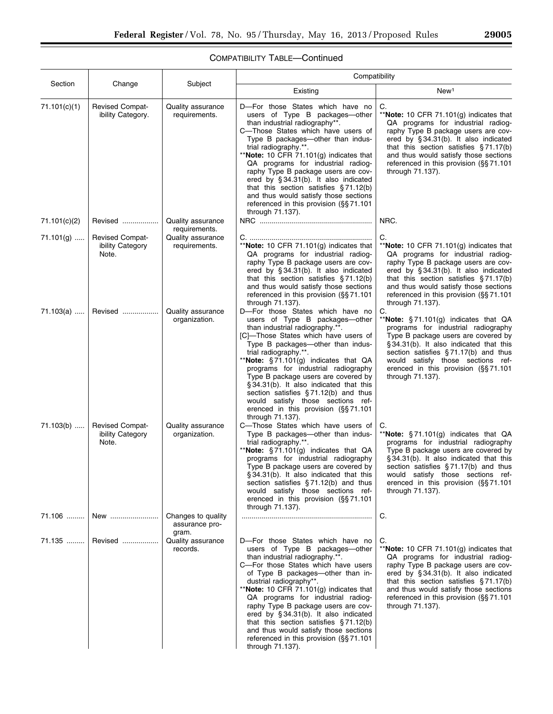# COMPATIBILITY TABLE—Continued

|              |                                                     |                                               | Compatibility                                                                                                                                                                                                                                                                                                                                                                                                                                                                                                                                  |                                                                                                                                                                                                                                                                                                                                     |  |  |  |
|--------------|-----------------------------------------------------|-----------------------------------------------|------------------------------------------------------------------------------------------------------------------------------------------------------------------------------------------------------------------------------------------------------------------------------------------------------------------------------------------------------------------------------------------------------------------------------------------------------------------------------------------------------------------------------------------------|-------------------------------------------------------------------------------------------------------------------------------------------------------------------------------------------------------------------------------------------------------------------------------------------------------------------------------------|--|--|--|
| Section      | Change                                              | Subject                                       | Existing                                                                                                                                                                                                                                                                                                                                                                                                                                                                                                                                       | New <sup>1</sup>                                                                                                                                                                                                                                                                                                                    |  |  |  |
| 71.101(c)(1) | <b>Revised Compat-</b><br>ibility Category.         | Quality assurance<br>requirements.            | D-For those States which have no<br>users of Type B packages-other<br>than industrial radiography**.<br>C-Those States which have users of<br>Type B packages-other than indus-<br>trial radiography.**.<br>**Note: 10 CFR 71.101 $(g)$ indicates that<br>QA programs for industrial radiog-<br>raphy Type B package users are cov-<br>ered by §34.31(b). It also indicated<br>that this section satisfies $\S 71.12(b)$<br>and thus would satisfy those sections<br>referenced in this provision (§§71.101<br>through 71.137).                | C.<br>**Note: 10 CFR 71.101(g) indicates that<br>QA programs for industrial radiog-<br>raphy Type B package users are cov-<br>ered by §34.31(b). It also indicated<br>that this section satisfies $\S 71.17(b)$<br>and thus would satisfy those sections<br>referenced in this provision (§§ 71.101<br>through 71.137).             |  |  |  |
| 71.101(c)(2) | Revised                                             | Quality assurance<br>requirements.            |                                                                                                                                                                                                                                                                                                                                                                                                                                                                                                                                                | NRC.                                                                                                                                                                                                                                                                                                                                |  |  |  |
| $71.101(g)$  | <b>Revised Compat-</b><br>ibility Category<br>Note. | Quality assurance<br>requirements.            | **Note: 10 CFR 71.101(g) indicates that<br>QA programs for industrial radiog-<br>raphy Type B package users are cov-<br>ered by §34.31(b). It also indicated<br>that this section satisfies $\S 71.12(b)$<br>and thus would satisfy those sections<br>referenced in this provision (§§71.101<br>through 71.137).                                                                                                                                                                                                                               | C.<br>**Note: 10 CFR 71.101 $(g)$ indicates that<br>QA programs for industrial radiog-<br>raphy Type B package users are cov-<br>ered by §34.31(b). It also indicated<br>that this section satisfies $\S 71.17(b)$<br>and thus would satisfy those sections<br>referenced in this provision (§§ 71.101<br>through 71.137).          |  |  |  |
| 71.103(a)    | Revised                                             | Quality assurance<br>organization.            | D-For those States which have no<br>users of Type B packages-other<br>than industrial radiography.**.<br>[C]-Those States which have users of<br>Type B packages-other than indus-<br>trial radiography.**.<br>**Note: $\S 71.101(g)$ indicates that QA<br>programs for industrial radiography<br>Type B package users are covered by<br>§34.31(b). It also indicated that this<br>section satisfies $§ 71.12(b)$ and thus<br>would satisfy those sections ref-<br>erenced in this provision $(S\ S 71.101)$<br>through 71.137).               | C.<br>**Note: $\S 71.101(q)$ indicates that QA<br>programs for industrial radiography<br>Type B package users are covered by<br>§34.31(b). It also indicated that this<br>section satisfies $\S 71.17(b)$ and thus<br>would satisfy those sections ref-<br>erenced in this provision (§§ 71.101<br>through 71.137).                 |  |  |  |
| $71.103(b)$  | <b>Revised Compat-</b><br>ibility Category<br>Note. | <b>Quality assurance</b><br>organization.     | C-Those States which have users of<br>Type B packages-other than indus-<br>trial radiography.**.<br>**Note: $\S 71.101(g)$ indicates that QA<br>programs for industrial radiography<br>Type B package users are covered by<br>§ 34.31(b). It also indicated that this<br>section satisfies $§71.12(b)$ and thus<br>would satisfy those sections ref-<br>erenced in this provision (§§71.101<br>through 71.137).                                                                                                                                | C.<br>**Note: §71.101(g) indicates that QA<br>programs for industrial radiography<br>Type B package users are covered by<br>§34.31(b). It also indicated that this<br>section satisfies §71.17(b) and thus<br>would satisfy those sections ref-<br>erenced in this provision (§§ 71.101<br>through 71.137).                         |  |  |  |
| 71.106       | New                                                 | Changes to quality<br>assurance pro-<br>gram. |                                                                                                                                                                                                                                                                                                                                                                                                                                                                                                                                                | C.                                                                                                                                                                                                                                                                                                                                  |  |  |  |
| 71.135       | Revised                                             | Quality assurance<br>records.                 | D-For those States which have no<br>users of Type B packages-other<br>than industrial radiography.**.<br>C-For those States which have users<br>of Type B packages—other than in-<br>dustrial radiography**.<br>**Note: 10 CFR 71.101 $(g)$ indicates that<br>QA programs for industrial radiog-<br>raphy Type B package users are cov-<br>ered by $\S 34.31(b)$ . It also indicated<br>that this section satisfies $\S 71.12(b)$<br>and thus would satisfy those sections<br>referenced in this provision $(\S\S 71.101)$<br>through 71.137). | C.<br>**Note: 10 CFR $71.101(g)$ indicates that<br>QA programs for industrial radiog-<br>raphy Type B package users are cov-<br>ered by $\S 34.31(b)$ . It also indicated<br>that this section satisfies $\S 71.17(b)$<br>and thus would satisfy those sections<br>referenced in this provision $(\S\S 71.101)$<br>through 71.137). |  |  |  |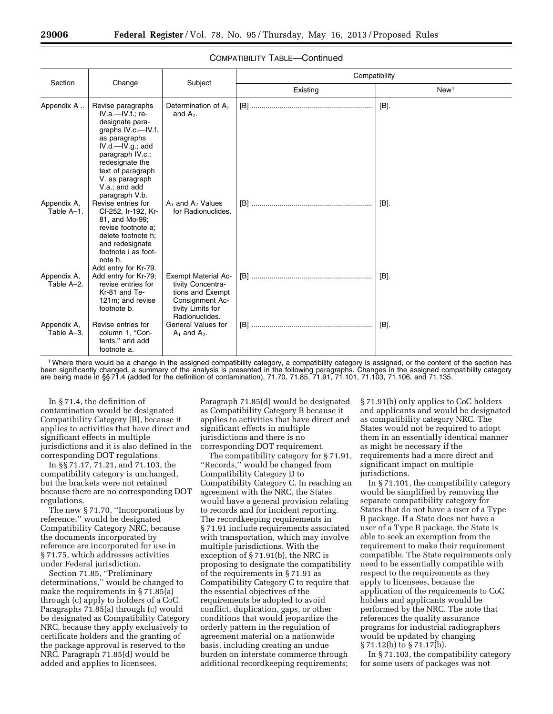|                           |                                                                                                                                                                                                                                         |                                                                                                                               | Compatibility |                  |
|---------------------------|-----------------------------------------------------------------------------------------------------------------------------------------------------------------------------------------------------------------------------------------|-------------------------------------------------------------------------------------------------------------------------------|---------------|------------------|
| Section                   | Change                                                                                                                                                                                                                                  | Subject                                                                                                                       | Existing      | New <sup>1</sup> |
| Appendix A                | Revise paragraphs<br>$IV.a.—IV.f.:$ re-<br>designate para-<br>graphs IV.c.-IV.f.<br>as paragraphs<br>IV.d.—IV.g.; add<br>paragraph IV.c.;<br>redesignate the<br>text of paragraph<br>V. as paragraph<br>V.a.; and add<br>paragraph V.b. | Determination of A <sub>1</sub><br>and $A_2$ .                                                                                |               | $[B]$ .          |
| Appendix A,<br>Table A-1. | Revise entries for<br>Cf-252, Ir-192, Kr-<br>81, and Mo-99;<br>revise footnote a:<br>delete footnote h;<br>and redesignate<br>footnote i as foot-<br>note h.<br>Add entry for Kr-79.                                                    | $A_1$ and $A_2$ Values<br>for Radionuclides.                                                                                  |               | [B].             |
| Appendix A,<br>Table A-2. | Add entry for Kr-79;<br>revise entries for<br>Kr-81 and Te-<br>121m; and revise<br>footnote b.                                                                                                                                          | <b>Exempt Material Ac-</b><br>tivity Concentra-<br>tions and Exempt<br>Consignment Ac-<br>tivity Limits for<br>Radionuclides. |               | [B].             |
| Appendix A,<br>Table A-3. | Revise entries for<br>column 1, "Con-<br>tents," and add<br>footnote a.                                                                                                                                                                 | <b>General Values for</b><br>$A_1$ and $A_2$ .                                                                                |               | [B].             |

#### COMPATIBILITY TABLE—Continued

1Where there would be a change in the assigned compatibility category, a compatibility category is assigned, or the content of the section has been significantly changed, a summary of the analysis is presented in the following paragraphs. Changes in the assigned compatibility category are being made in §§ 71.4 (added for the definition of contamination), 71.70, 71.85, 71.91, 71.101, 71.103, 71.106, and 71.135.

In § 71.4, the definition of contamination would be designated Compatibility Category [B], because it applies to activities that have direct and significant effects in multiple jurisdictions and it is also defined in the corresponding DOT regulations.

In §§ 71.17, 71.21, and 71.103, the compatibility category is unchanged, but the brackets were not retained because there are no corresponding DOT regulations.

The new § 71.70, ''Incorporations by reference,'' would be designated Compatibility Category NRC, because the documents incorporated by reference are incorporated for use in § 71.75, which addresses activities under Federal jurisdiction.

Section 71.85, ''Preliminary determinations,'' would be changed to make the requirements in § 71.85(a) through (c) apply to holders of a CoC. Paragraphs 71.85(a) through (c) would be designated as Compatibility Category NRC, because they apply exclusively to certificate holders and the granting of the package approval is reserved to the NRC. Paragraph 71.85(d) would be added and applies to licensees.

Paragraph 71.85(d) would be designated as Compatibility Category B because it applies to activities that have direct and significant effects in multiple jurisdictions and there is no corresponding DOT requirement.

The compatibility category for § 71.91, ''Records,'' would be changed from Compatibility Category D to Compatibility Category C. In reaching an agreement with the NRC, the States would have a general provision relating to records and for incident reporting. The recordkeeping requirements in § 71.91 include requirements associated with transportation, which may involve multiple jurisdictions. With the exception of § 71.91(b), the NRC is proposing to designate the compatibility of the requirements in § 71.91 as Compatibility Category C to require that the essential objectives of the requirements be adopted to avoid conflict, duplication, gaps, or other conditions that would jeopardize the orderly pattern in the regulation of agreement material on a nationwide basis, including creating an undue burden on interstate commerce through additional recordkeeping requirements;

§ 71.91(b) only applies to CoC holders and applicants and would be designated as compatibility category NRC. The States would not be required to adopt them in an essentially identical manner as might be necessary if the requirements had a more direct and significant impact on multiple jurisdictions.

In § 71.101, the compatibility category would be simplified by removing the separate compatibility category for States that do not have a user of a Type B package. If a State does not have a user of a Type B package, the State is able to seek an exemption from the requirement to make their requirement compatible. The State requirements only need to be essentially compatible with respect to the requirements as they apply to licensees, because the application of the requirements to CoC holders and applicants would be performed by the NRC. The note that references the quality assurance programs for industrial radiographers would be updated by changing § 71.12(b) to § 71.17(b).

In § 71.103, the compatibility category for some users of packages was not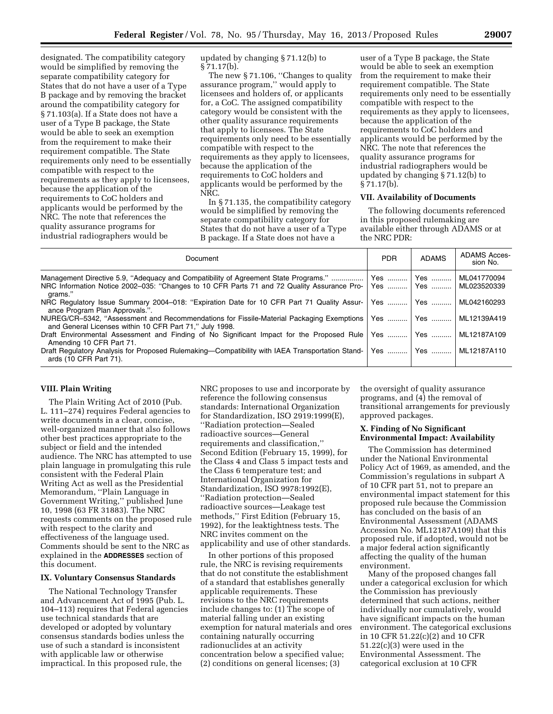designated. The compatibility category would be simplified by removing the separate compatibility category for States that do not have a user of a Type B package and by removing the bracket around the compatibility category for § 71.103(a). If a State does not have a user of a Type B package, the State would be able to seek an exemption from the requirement to make their requirement compatible. The State requirements only need to be essentially compatible with respect to the requirements as they apply to licensees, because the application of the requirements to CoC holders and applicants would be performed by the NRC. The note that references the quality assurance programs for industrial radiographers would be

updated by changing § 71.12(b) to  $§ 71.17(b).$ 

The new §71.106, "Changes to quality" assurance program,'' would apply to licensees and holders of, or applicants for, a CoC. The assigned compatibility category would be consistent with the other quality assurance requirements that apply to licensees. The State requirements only need to be essentially compatible with respect to the requirements as they apply to licensees, because the application of the requirements to CoC holders and applicants would be performed by the NRC.

In § 71.135, the compatibility category would be simplified by removing the separate compatibility category for States that do not have a user of a Type B package. If a State does not have a

user of a Type B package, the State would be able to seek an exemption from the requirement to make their requirement compatible. The State requirements only need to be essentially compatible with respect to the requirements as they apply to licensees, because the application of the requirements to CoC holders and applicants would be performed by the NRC. The note that references the quality assurance programs for industrial radiographers would be updated by changing § 71.12(b) to § 71.17(b).

#### **VII. Availability of Documents**

The following documents referenced in this proposed rulemaking are available either through ADAMS or at the NRC PDR:

| Document                                                                                                                                                                                     | <b>PDR</b> | <b>ADAMS</b>             | <b>ADAMS Acces-</b><br>sion No. |
|----------------------------------------------------------------------------------------------------------------------------------------------------------------------------------------------|------------|--------------------------|---------------------------------|
| Management Directive 5.9, "Adequacy and Compatibility of Agreement State Programs."<br>NRC Information Notice 2002–035: "Changes to 10 CFR Parts 71 and 72 Quality Assurance Pro-<br>arams." |            | Yes    Yes<br>Yes    Yes | ML041770094<br>ML023520339      |
| NRC Regulatory Issue Summary 2004–018: "Expiration Date for 10 CFR Part 71 Quality Assur-<br>ance Program Plan Approvals.".                                                                  |            | Yes    Yes               | ML042160293                     |
| NUREG/CR-5342, "Assessment and Recommendations for Fissile-Material Packaging Exemptions<br>and General Licenses within 10 CFR Part 71," July 1998.                                          |            | Yes ……….   Yes ……….      | ML12139A419                     |
| Draft Environmental Assessment and Finding of No Significant Impact for the Proposed Rule   Yes    Yes<br>Amending 10 CFR Part 71.                                                           |            |                          | ML12187A109                     |
| Draft Regulatory Analysis for Proposed Rulemaking-Compatibility with IAEA Transportation Stand-<br>ards (10 CFR Part 71).                                                                    | Yes        | l Yes                    | ML12187A110                     |

#### **VIII. Plain Writing**

The Plain Writing Act of 2010 (Pub. L. 111–274) requires Federal agencies to write documents in a clear, concise, well-organized manner that also follows other best practices appropriate to the subject or field and the intended audience. The NRC has attempted to use plain language in promulgating this rule consistent with the Federal Plain Writing Act as well as the Presidential Memorandum, ''Plain Language in Government Writing,'' published June 10, 1998 (63 FR 31883). The NRC requests comments on the proposed rule with respect to the clarity and effectiveness of the language used. Comments should be sent to the NRC as explained in the **ADDRESSES** section of this document.

#### **IX. Voluntary Consensus Standards**

The National Technology Transfer and Advancement Act of 1995 (Pub. L. 104–113) requires that Federal agencies use technical standards that are developed or adopted by voluntary consensus standards bodies unless the use of such a standard is inconsistent with applicable law or otherwise impractical. In this proposed rule, the

NRC proposes to use and incorporate by reference the following consensus standards: International Organization for Standardization, ISO 2919:1999(E), ''Radiation protection—Sealed radioactive sources—General requirements and classification,'' Second Edition (February 15, 1999), for the Class 4 and Class 5 impact tests and the Class 6 temperature test; and International Organization for Standardization, ISO 9978:1992(E), ''Radiation protection—Sealed radioactive sources—Leakage test methods,'' First Edition (February 15, 1992), for the leaktightness tests. The NRC invites comment on the applicability and use of other standards.

In other portions of this proposed rule, the NRC is revising requirements that do not constitute the establishment of a standard that establishes generally applicable requirements. These revisions to the NRC requirements include changes to: (1) The scope of material falling under an existing exemption for natural materials and ores containing naturally occurring radionuclides at an activity concentration below a specified value; (2) conditions on general licenses; (3)

the oversight of quality assurance programs, and (4) the removal of transitional arrangements for previously approved packages.

#### **X. Finding of No Significant Environmental Impact: Availability**

The Commission has determined under the National Environmental Policy Act of 1969, as amended, and the Commission's regulations in subpart A of 10 CFR part 51, not to prepare an environmental impact statement for this proposed rule because the Commission has concluded on the basis of an Environmental Assessment (ADAMS Accession No. ML12187A109) that this proposed rule, if adopted, would not be a major federal action significantly affecting the quality of the human environment.

Many of the proposed changes fall under a categorical exclusion for which the Commission has previously determined that such actions, neither individually nor cumulatively, would have significant impacts on the human environment. The categorical exclusions in 10 CFR 51.22(c)(2) and 10 CFR 51.22(c)(3) were used in the Environmental Assessment. The categorical exclusion at 10 CFR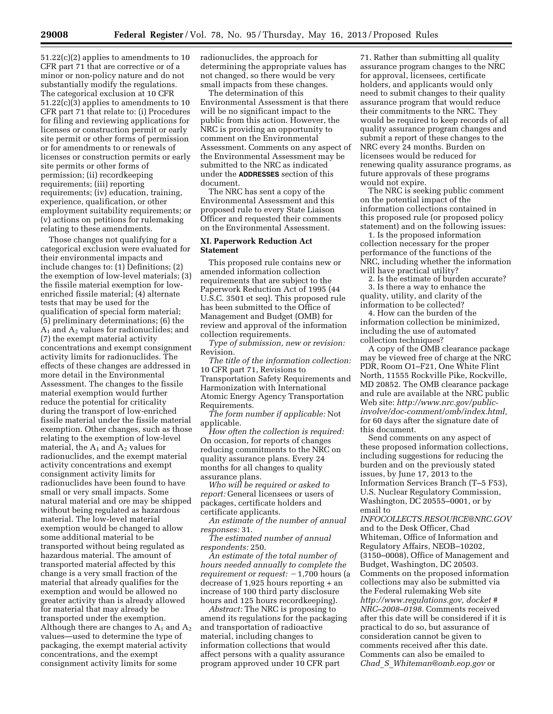51.22(c)(2) applies to amendments to 10 CFR part 71 that are corrective or of a minor or non-policy nature and do not substantially modify the regulations. The categorical exclusion at 10 CFR 51.22(c)(3) applies to amendments to 10 CFR part 71 that relate to: (i) Procedures for filing and reviewing applications for licenses or construction permit or early site permit or other forms of permission or for amendments to or renewals of licenses or construction permits or early site permits or other forms of permission; (ii) recordkeeping requirements; (iii) reporting requirements; (iv) education, training, experience, qualification, or other employment suitability requirements; or (v) actions on petitions for rulemaking relating to these amendments.

Those changes not qualifying for a categorical exclusion were evaluated for their environmental impacts and include changes to: (1) Definitions; (2) the exemption of low-level materials; (3) the fissile material exemption for lowenriched fissile material; (4) alternate tests that may be used for the qualification of special form material; (5) preliminary determinations; (6) the  $A_1$  and  $A_2$  values for radionuclides; and (7) the exempt material activity concentrations and exempt consignment activity limits for radionuclides. The effects of these changes are addressed in more detail in the Environmental Assessment. The changes to the fissile material exemption would further reduce the potential for criticality during the transport of low-enriched fissile material under the fissile material exemption. Other changes, such as those relating to the exemption of low-level material, the  $A_1$  and  $A_2$  values for radionuclides, and the exempt material activity concentrations and exempt consignment activity limits for radionuclides have been found to have small or very small impacts. Some natural material and ore may be shipped without being regulated as hazardous material. The low-level material exemption would be changed to allow some additional material to be transported without being regulated as hazardous material. The amount of transported material affected by this change is a very small fraction of the material that already qualifies for the exemption and would be allowed no greater activity than is already allowed for material that may already be transported under the exemption. Although there are changes to  $A_1$  and  $A_2$ values—used to determine the type of packaging, the exempt material activity concentrations, and the exempt consignment activity limits for some

radionuclides, the approach for determining the appropriate values has not changed, so there would be very small impacts from these changes.

The determination of this Environmental Assessment is that there will be no significant impact to the public from this action. However, the NRC is providing an opportunity to comment on the Environmental Assessment. Comments on any aspect of the Environmental Assessment may be submitted to the NRC as indicated under the **ADDRESSES** section of this document.

The NRC has sent a copy of the Environmental Assessment and this proposed rule to every State Liaison Officer and requested their comments on the Environmental Assessment.

#### **XI. Paperwork Reduction Act Statement**

This proposed rule contains new or amended information collection requirements that are subject to the Paperwork Reduction Act of 1995 (44 U.S.C. 3501 et seq). This proposed rule has been submitted to the Office of Management and Budget (OMB) for review and approval of the information collection requirements.

*Type of submission, new or revision:*  Revision.

*The title of the information collection:*  10 CFR part 71, Revisions to Transportation Safety Requirements and Harmonization with International Atomic Energy Agency Transportation Requirements.

*The form number if applicable:* Not applicable.

*How often the collection is required:*  On occasion, for reports of changes reducing commitments to the NRC on quality assurance plans. Every 24 months for all changes to quality assurance plans.

*Who will be required or asked to report:* General licensees or users of packages, certificate holders and certificate applicants.

*An estimate of the number of annual responses:* 31.

*The estimated number of annual respondents:* 250.

*An estimate of the total number of hours needed annually to complete the requirement or request:*  $-1,700$  hours (a decrease of 1,925 hours reporting + an increase of 100 third party disclosure hours and 125 hours recordkeeping).

*Abstract:* The NRC is proposing to amend its regulations for the packaging and transportation of radioactive material, including changes to information collections that would affect persons with a quality assurance program approved under 10 CFR part

71. Rather than submitting all quality assurance program changes to the NRC for approval, licensees, certificate holders, and applicants would only need to submit changes to their quality assurance program that would reduce their commitments to the NRC. They would be required to keep records of all quality assurance program changes and submit a report of these changes to the NRC every 24 months. Burden on licensees would be reduced for renewing quality assurance programs, as future approvals of these programs would not expire.

The NRC is seeking public comment on the potential impact of the information collections contained in this proposed rule (or proposed policy statement) and on the following issues:

1. Is the proposed information collection necessary for the proper performance of the functions of the NRC, including whether the information will have practical utility?

2. Is the estimate of burden accurate? 3. Is there a way to enhance the quality, utility, and clarity of the information to be collected?

4. How can the burden of the information collection be minimized, including the use of automated collection techniques?

A copy of the OMB clearance package may be viewed free of charge at the NRC PDR, Room O1–F21, One White Flint North, 11555 Rockville Pike, Rockville, MD 20852. The OMB clearance package and rule are available at the NRC public Web site: *[http://www.nrc.gov/public](http://www.nrc.gov/public-involve/doc-comment/omb/index.html)[involve/doc-comment/omb/index.html,](http://www.nrc.gov/public-involve/doc-comment/omb/index.html)*  for 60 days after the signature date of this document.

Send comments on any aspect of these proposed information collections, including suggestions for reducing the burden and on the previously stated issues, by June 17, 2013 to the Information Services Branch (T–5 F53), U.S. Nuclear Regulatory Commission, Washington, DC 20555–0001, or by email to

*[INFOCOLLECTS.RESOURCE@NRC.GOV](mailto:INFOCOLLECTS.RESOURCE@NRC.GOV)*  and to the Desk Officer, Chad Whiteman, Office of Information and Regulatory Affairs, NEOB–10202, (3150–0008), Office of Management and Budget, Washington, DC 20503. Comments on the proposed information collections may also be submitted via the Federal rulemaking Web site *[http://www.regulations.gov,](http://www.regulations.gov) docket # NRC–2008–0198.* Comments received after this date will be considered if it is practical to do so, but assurance of consideration cannot be given to comments received after this date. Comments can also be emailed to *Chad*\_*S*\_*[Whiteman@omb.eop.gov](mailto:Chad_S_Whiteman@omb.eop.gov)* or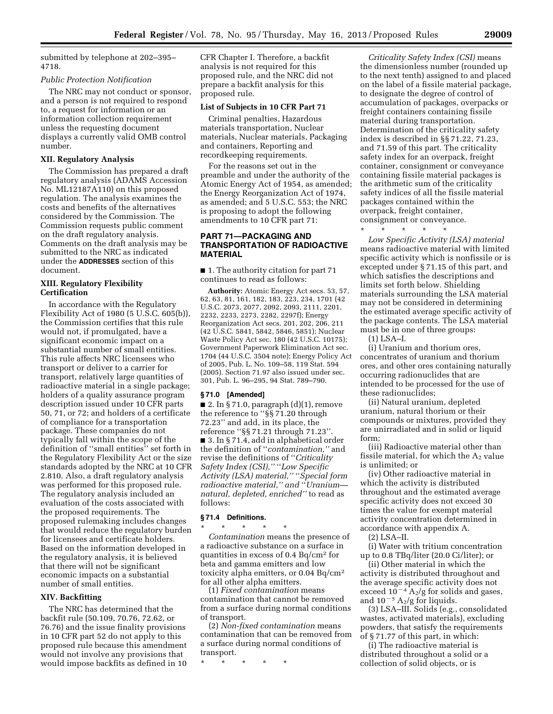submitted by telephone at 202–395– 4718.

#### *Public Protection Notification*

The NRC may not conduct or sponsor, and a person is not required to respond to, a request for information or an information collection requirement unless the requesting document displays a currently valid OMB control number.

#### **XII. Regulatory Analysis**

The Commission has prepared a draft regulatory analysis (ADAMS Accession No. ML12187A110) on this proposed regulation. The analysis examines the costs and benefits of the alternatives considered by the Commission. The Commission requests public comment on the draft regulatory analysis. Comments on the draft analysis may be submitted to the NRC as indicated under the **ADDRESSES** section of this document.

#### **XIII. Regulatory Flexibility Certification**

In accordance with the Regulatory Flexibility Act of 1980 (5 U.S.C. 605(b)), the Commission certifies that this rule would not, if promulgated, have a significant economic impact on a substantial number of small entities. This rule affects NRC licensees who transport or deliver to a carrier for transport, relatively large quantities of radioactive material in a single package; holders of a quality assurance program description issued under 10 CFR parts 50, 71, or 72; and holders of a certificate of compliance for a transportation package. These companies do not typically fall within the scope of the definition of ''small entities'' set forth in the Regulatory Flexibility Act or the size standards adopted by the NRC at 10 CFR 2.810. Also, a draft regulatory analysis was performed for this proposed rule. The regulatory analysis included an evaluation of the costs associated with the proposed requirements. The proposed rulemaking includes changes that would reduce the regulatory burden for licensees and certificate holders. Based on the information developed in the regulatory analysis, it is believed that there will not be significant economic impacts on a substantial number of small entities.

#### **XIV. Backfitting**

The NRC has determined that the backfit rule (50.109, 70.76, 72.62, or 76.76) and the issue finality provisions in 10 CFR part 52 do not apply to this proposed rule because this amendment would not involve any provisions that would impose backfits as defined in 10 CFR Chapter I. Therefore, a backfit analysis is not required for this proposed rule, and the NRC did not prepare a backfit analysis for this proposed rule.

### **List of Subjects in 10 CFR Part 71**

Criminal penalties, Hazardous materials transportation, Nuclear materials, Nuclear materials, Packaging and containers, Reporting and recordkeeping requirements.

For the reasons set out in the preamble and under the authority of the Atomic Energy Act of 1954, as amended; the Energy Reorganization Act of 1974, as amended; and 5 U.S.C. 553; the NRC is proposing to adopt the following amendments to 10 CFR part 71:

#### **PART 71—PACKAGING AND TRANSPORTATION OF RADIOACTIVE MATERIAL**

■ 1. The authority citation for part 71 continues to read as follows:

**Authority:** Atomic Energy Act secs. 53, 57, 62, 63, 81, 161, 182, 183, 223, 234, 1701 (42 U.S.C. 2073, 2077, 2092, 2093, 2111, 2201, 2232, 2233, 2273, 2282, 2297f); Energy Reorganization Act secs. 201, 202, 206, 211 (42 U.S.C. 5841, 5842, 5846, 5851); Nuclear Waste Policy Act sec. 180 (42 U.S.C. 10175); Government Paperwork Elimination Act sec. 1704 (44 U.S.C. 3504 note); Energy Policy Act of 2005, Pub. L. No. 109–58, 119 Stat. 594 (2005). Section 71.97 also issued under sec. 301, Pub. L. 96–295, 94 Stat. 789–790.

#### **§ 71.0 [Amended]**

 $\blacksquare$  2. In § 71.0, paragraph  $(d)(1)$ , remove the reference to ''§§ 71.20 through 72.23'' and add, in its place, the reference ''§§ 71.21 through 71.23''. ■ 3. In § 71.4, add in alphabetical order the definition of ''*contamination,''* and revise the definitions of ''*Criticality Safety Index (CSI),''* ''*Low Specific Activity (LSA) material,''* ''*Special form radioactive material,'' and* ''*Uranium natural, depleted, enriched''* to read as follows:

#### **§ 71.4 Definitions.**

\* \* \* \* \* *Contamination* means the presence of a radioactive substance on a surface in quantities in excess of 0.4 Bq/cm2 for beta and gamma emitters and low toxicity alpha emitters, or 0.04 Bq/cm2 for all other alpha emitters.

(1) *Fixed contamination* means contamination that cannot be removed from a surface during normal conditions of transport.

(2) *Non-fixed contamination* means contamination that can be removed from a surface during normal conditions of transport.

\* \* \* \* \*

*Criticality Safety Index (CSI)* means the dimensionless number (rounded up to the next tenth) assigned to and placed on the label of a fissile material package, to designate the degree of control of accumulation of packages, overpacks or freight containers containing fissile material during transportation. Determination of the criticality safety index is described in §§ 71.22, 71.23, and 71.59 of this part. The criticality safety index for an overpack, freight container, consignment or conveyance containing fissile material packages is the arithmetic sum of the criticality safety indices of all the fissile material packages contained within the overpack, freight container, consignment or conveyance.

\* \* \* \* \*

*Low Specific Activity (LSA) material*  means radioactive material with limited specific activity which is nonfissile or is excepted under § 71.15 of this part, and which satisfies the descriptions and limits set forth below. Shielding materials surrounding the LSA material may not be considered in determining the estimated average specific activity of the package contents. The LSA material must be in one of three groups:

(1) LSA–I.

(i) Uranium and thorium ores, concentrates of uranium and thorium ores, and other ores containing naturally occurring radionuclides that are intended to be processed for the use of these radionuclides;

(ii) Natural uranium, depleted uranium, natural thorium or their compounds or mixtures, provided they are unirradiated and in solid or liquid form;

(iii) Radioactive material other than fissile material, for which the  $\rm A_{2}$  value is unlimited; or

(iv) Other radioactive material in which the activity is distributed throughout and the estimated average specific activity does not exceed 30 times the value for exempt material activity concentration determined in accordance with appendix A.

(2) LSA–II.

(i) Water with tritium concentration up to 0.8 TBq/liter (20.0 Ci/liter); or

(ii) Other material in which the activity is distributed throughout and the average specific activity does not exceed  $10^{-4}$  A<sub>2</sub>/g for solids and gases, and  $10^{-5}$  A<sub>2</sub>/g for liquids.

(3) LSA–III. Solids (e.g., consolidated wastes, activated materials), excluding powders, that satisfy the requirements of § 71.77 of this part, in which:

(i) The radioactive material is distributed throughout a solid or a collection of solid objects, or is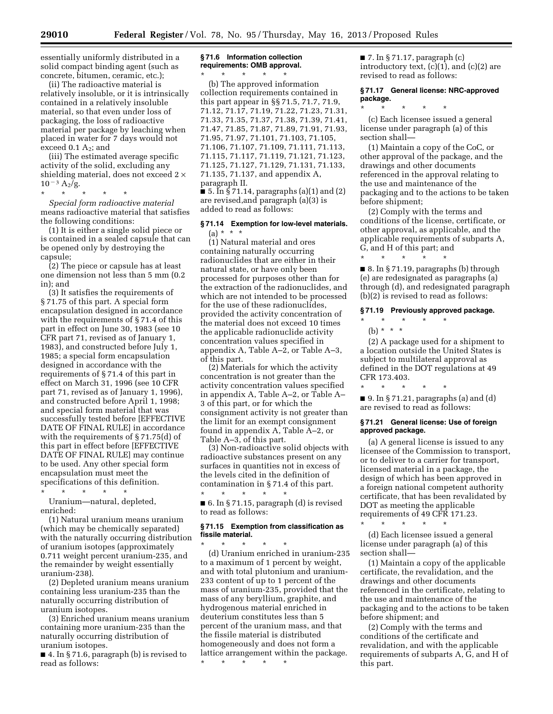essentially uniformly distributed in a solid compact binding agent (such as concrete, bitumen, ceramic, etc.);

(ii) The radioactive material is relatively insoluble, or it is intrinsically contained in a relatively insoluble material, so that even under loss of packaging, the loss of radioactive material per package by leaching when placed in water for 7 days would not exceed  $0.1 A<sub>2</sub>$ ; and

(iii) The estimated average specific activity of the solid, excluding any shielding material, does not exceed 2 ×  $10^{-3}$  A<sub>2</sub>/g.

\* \* \* \* \* *Special form radioactive material*  means radioactive material that satisfies the following conditions:

(1) It is either a single solid piece or is contained in a sealed capsule that can be opened only by destroying the capsule;

(2) The piece or capsule has at least one dimension not less than 5 mm (0.2 in); and

(3) It satisfies the requirements of § 71.75 of this part. A special form encapsulation designed in accordance with the requirements of § 71.4 of this part in effect on June 30, 1983 (see 10 CFR part 71, revised as of January 1, 1983), and constructed before July 1, 1985; a special form encapsulation designed in accordance with the requirements of § 71.4 of this part in effect on March 31, 1996 (see 10 CFR part 71, revised as of January 1, 1996), and constructed before April 1, 1998; and special form material that was successfully tested before [EFFECTIVE DATE OF FINAL RULE] in accordance with the requirements of § 71.75(d) of this part in effect before [EFFECTIVE DATE OF FINAL RULE] may continue to be used. Any other special form encapsulation must meet the specifications of this definition.

\* \* \* \* \* Uranium—natural, depleted, enriched:

(1) Natural uranium means uranium (which may be chemically separated) with the naturally occurring distribution of uranium isotopes (approximately 0.711 weight percent uranium-235, and the remainder by weight essentially uranium-238).

(2) Depleted uranium means uranium containing less uranium-235 than the naturally occurring distribution of uranium isotopes.

(3) Enriched uranium means uranium containing more uranium-235 than the naturally occurring distribution of uranium isotopes.

■ 4. In § 71.6, paragraph (b) is revised to read as follows:

#### **§ 71.6 Information collection requirements: OMB approval.**  \* \* \* \* \*

(b) The approved information collection requirements contained in this part appear in §§ 71.5, 71.7, 71.9, 71.12, 71.17, 71.19, 71.22, 71.23, 71.31, 71.33, 71.35, 71.37, 71.38, 71.39, 71.41, 71.47, 71.85, 71.87, 71.89, 71.91, 71.93, 71.95, 71.97, 71.101, 71.103, 71.105, 71.106, 71.107, 71.109, 71.111, 71.113, 71.115, 71.117, 71.119, 71.121, 71.123, 71.125, 71.127, 71.129, 71.131, 71.133, 71.135, 71.137, and appendix A, paragraph II.

 $\bullet$  5. In § 71.14, paragraphs (a)(1) and (2) are revised,and paragraph (a)(3) is added to read as follows:

#### **§ 71.14 Exemption for low-level materials.**   $(a) * * * *$

(1) Natural material and ores containing naturally occurring radionuclides that are either in their natural state, or have only been processed for purposes other than for the extraction of the radionuclides, and which are not intended to be processed for the use of these radionuclides, provided the activity concentration of the material does not exceed 10 times the applicable radionuclide activity concentration values specified in appendix A, Table A–2, or Table A–3, of this part.

(2) Materials for which the activity concentration is not greater than the activity concentration values specified in appendix A, Table A–2, or Table A– 3 of this part, or for which the consignment activity is not greater than the limit for an exempt consignment found in appendix A, Table A–2, or Table A–3, of this part.

(3) Non-radioactive solid objects with radioactive substances present on any surfaces in quantities not in excess of the levels cited in the definition of contamination in § 71.4 of this part. \* \* \* \* \*

■ 6. In § 71.15, paragraph (d) is revised to read as follows:

#### **§ 71.15 Exemption from classification as fissile material.**

\* \* \* \* \* (d) Uranium enriched in uranium-235 to a maximum of 1 percent by weight, and with total plutonium and uranium-233 content of up to 1 percent of the mass of uranium-235, provided that the mass of any beryllium, graphite, and hydrogenous material enriched in deuterium constitutes less than 5 percent of the uranium mass, and that the fissile material is distributed homogeneously and does not form a lattice arrangement within the package.

\* \* \* \* \*

 $\blacksquare$  7. In § 71.17, paragraph  $(c)$ introductory text, (c)(1), and (c)(2) are revised to read as follows:

**§ 71.17 General license: NRC-approved package.** 

\* \* \* \* \*

(c) Each licensee issued a general license under paragraph (a) of this section shall—

(1) Maintain a copy of the CoC, or other approval of the package, and the drawings and other documents referenced in the approval relating to the use and maintenance of the packaging and to the actions to be taken before shipment;

(2) Comply with the terms and conditions of the license, certificate, or other approval, as applicable, and the applicable requirements of subparts A, G, and H of this part; and

\* \* \* \* \* ■ 8. In § 71.19, paragraphs (b) through (e) are redesignated as paragraphs (a) through (d), and redesignated paragraph (b)(2) is revised to read as follows:

#### **§ 71.19 Previously approved package.**

- \* \* \* \* \*
	- (b)  $* * * *$

(2) A package used for a shipment to a location outside the United States is subject to multilateral approval as defined in the DOT regulations at 49 CFR 173.403.

\* \* \* \* \*  $\blacksquare$  9. In § 71.21, paragraphs (a) and (d)

are revised to read as follows:

#### **§ 71.21 General license: Use of foreign approved package.**

(a) A general license is issued to any licensee of the Commission to transport, or to deliver to a carrier for transport, licensed material in a package, the design of which has been approved in a foreign national competent authority certificate, that has been revalidated by DOT as meeting the applicable requirements of 49 CFR 171.23.

\* \* \* \* \* (d) Each licensee issued a general license under paragraph (a) of this section shall—

(1) Maintain a copy of the applicable certificate, the revalidation, and the drawings and other documents referenced in the certificate, relating to the use and maintenance of the packaging and to the actions to be taken before shipment; and

(2) Comply with the terms and conditions of the certificate and revalidation, and with the applicable requirements of subparts A, G, and H of this part.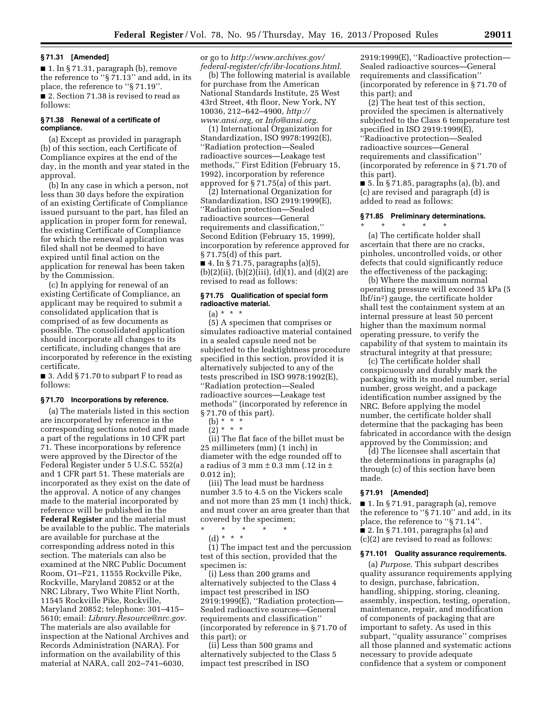#### **§ 71.31 [Amended]**

■ 1. In § 71.31, paragraph (b), remove the reference to ''§ 71.13'' and add, in its place, the reference to ''§ 71.19''. ■ 2. Section 71.38 is revised to read as follows:

#### **§ 71.38 Renewal of a certificate of compliance.**

(a) Except as provided in paragraph (b) of this section, each Certificate of Compliance expires at the end of the day, in the month and year stated in the approval.

(b) In any case in which a person, not less than 30 days before the expiration of an existing Certificate of Compliance issued pursuant to the part, has filed an application in proper form for renewal, the existing Certificate of Compliance for which the renewal application was filed shall not be deemed to have expired until final action on the application for renewal has been taken by the Commission.

(c) In applying for renewal of an existing Certificate of Compliance, an applicant may be required to submit a consolidated application that is comprised of as few documents as possible. The consolidated application should incorporate all changes to its certificate, including changes that are incorporated by reference in the existing certificate.

■ 3. Add § 71.70 to subpart F to read as follows:

#### **§ 71.70 Incorporations by reference.**

(a) The materials listed in this section are incorporated by reference in the corresponding sections noted and made a part of the regulations in 10 CFR part 71. These incorporations by reference were approved by the Director of the Federal Register under 5 U.S.C. 552(a) and 1 CFR part 51. These materials are incorporated as they exist on the date of the approval. A notice of any changes made to the material incorporated by reference will be published in the **Federal Register** and the material must be available to the public. The materials are available for purchase at the corresponding address noted in this section. The materials can also be examined at the NRC Public Document Room, O1–F21, 11555 Rockville Pike, Rockville, Maryland 20852 or at the NRC Library, Two White Flint North, 11545 Rockville Pike, Rockville, Maryland 20852; telephone: 301–415– 5610; email: *[Library.Resource@nrc.gov.](mailto:Library.Resource@nrc.gov)*  The materials are also available for inspection at the National Archives and Records Administration (NARA). For information on the availability of this material at NARA, call 202–741–6030,

or go to *[http://www.archives.gov/](http://www.archives.gov/federal-register/cfr/ibr-locations.html)  [federal-register/cfr/ibr-locations.html.](http://www.archives.gov/federal-register/cfr/ibr-locations.html)* 

(b) The following material is available for purchase from the American National Standards Institute, 25 West 43rd Street, 4th floor, New York, NY 10036, 212–642–4900, *[http://](http://www.ansi.org) [www.ansi.org,](http://www.ansi.org)* or *[Info@ansi.org.](mailto:Info@ansi.org)* 

(1) International Organization for Standardization, ISO 9978:1992(E), ''Radiation protection—Sealed radioactive sources—Leakage test methods,'' First Edition (February 15, 1992), incorporation by reference approved for § 71.75(a) of this part.

(2) International Organization for Standardization, ISO 2919:1999(E), ''Radiation protection—Sealed radioactive sources—General requirements and classification,'' Second Edition (February 15, 1999), incorporation by reference approved for § 71.75(d) of this part.

■ 4. In § 71.75, paragraphs (a)(5),  $(b)(2)(ii)$ ,  $(b)(2)(iii)$ ,  $(d)(1)$ , and  $(d)(2)$  are revised to read as follows:

#### **§ 71.75 Qualification of special form radioactive material.**

 $(a) * * * *$ 

(5) A specimen that comprises or simulates radioactive material contained in a sealed capsule need not be subjected to the leaktightness procedure specified in this section, provided it is alternatively subjected to any of the tests prescribed in ISO 9978:1992(E), ''Radiation protection—Sealed radioactive sources—Leakage test methods'' (incorporated by reference in § 71.70 of this part).

(b)  $* * *$  $(2)^*$  \* \* \*

(ii) The flat face of the billet must be 25 millimeters (mm) (1 inch) in diameter with the edge rounded off to a radius of 3 mm  $\pm$  0.3 mm (.12 in  $\pm$ 0.012 in);

(iii) The lead must be hardness number 3.5 to 4.5 on the Vickers scale and not more than 25 mm (1 inch) thick, and must cover an area greater than that covered by the specimen;

\* \* \* \* \* (d) \* \* \*

(1) The impact test and the percussion test of this section, provided that the specimen is:

(i) Less than 200 grams and alternatively subjected to the Class 4 impact test prescribed in ISO 2919:1999(E), ''Radiation protection— Sealed radioactive sources—General requirements and classification'' (incorporated by reference in § 71.70 of this part); or

(ii) Less than 500 grams and alternatively subjected to the Class 5 impact test prescribed in ISO

2919:1999(E), ''Radioactive protection— Sealed radioactive sources—General requirements and classification'' (incorporated by reference in § 71.70 of this part); and

 $(2)$  The heat test of this section, provided the specimen is alternatively subjected to the Class 6 temperature test specified in ISO 2919:1999(E), ''Radioactive protection—Sealed radioactive sources—General requirements and classification'' (incorporated by reference in § 71.70 of this part).

 $\blacksquare$  5. In § 71.85, paragraphs (a), (b), and (c) are revised and paragraph (d) is added to read as follows:

#### **§ 71.85 Preliminary determinations.**

 $\star$   $\qquad$   $\star$   $\qquad$   $\star$ 

(a) The certificate holder shall ascertain that there are no cracks, pinholes, uncontrolled voids, or other defects that could significantly reduce the effectiveness of the packaging;

(b) Where the maximum normal operating pressure will exceed 35 kPa (5 lbf/in2) gauge, the certificate holder shall test the containment system at an internal pressure at least 50 percent higher than the maximum normal operating pressure, to verify the capability of that system to maintain its structural integrity at that pressure;

(c) The certificate holder shall conspicuously and durably mark the packaging with its model number, serial number, gross weight, and a package identification number assigned by the NRC. Before applying the model number, the certificate holder shall determine that the packaging has been fabricated in accordance with the design approved by the Commission; and

(d) The licensee shall ascertain that the determinations in paragraphs (a) through (c) of this section have been made.

#### **§ 71.91 [Amended]**

■ 1. In § 71.91, paragraph (a), remove the reference to ''§ 71.10'' and add, in its place, the reference to ''§ 71.14''.  $\blacksquare$  2. In § 71.101, paragraphs (a) and (c)(2) are revised to read as follows:

#### **§ 71.101 Quality assurance requirements.**

(a) *Purpose.* This subpart describes quality assurance requirements applying to design, purchase, fabrication, handling, shipping, storing, cleaning, assembly, inspection, testing, operation, maintenance, repair, and modification of components of packaging that are important to safety. As used in this subpart, ''quality assurance'' comprises all those planned and systematic actions necessary to provide adequate confidence that a system or component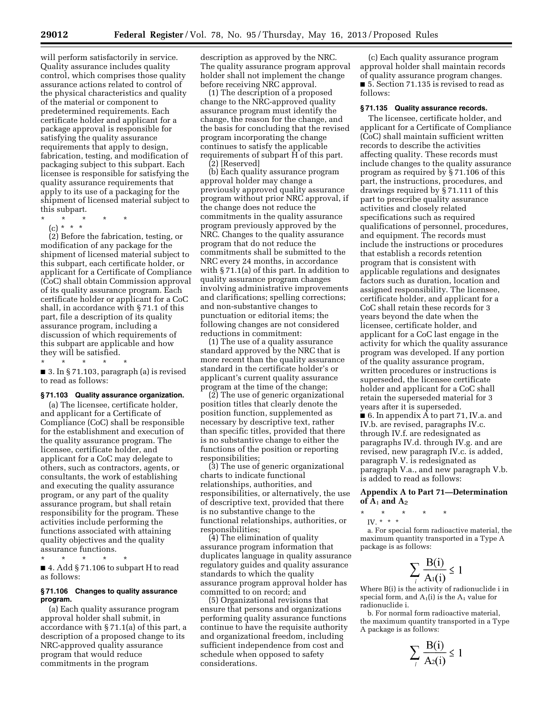will perform satisfactorily in service. Quality assurance includes quality control, which comprises those quality assurance actions related to control of the physical characteristics and quality of the material or component to predetermined requirements. Each certificate holder and applicant for a package approval is responsible for satisfying the quality assurance requirements that apply to design, fabrication, testing, and modification of packaging subject to this subpart. Each licensee is responsible for satisfying the quality assurance requirements that apply to its use of a packaging for the shipment of licensed material subject to this subpart.

- \* \* \* \* \*
- (c) \* \* \*

(2) Before the fabrication, testing, or modification of any package for the shipment of licensed material subject to this subpart, each certificate holder, or applicant for a Certificate of Compliance (CoC) shall obtain Commission approval of its quality assurance program. Each certificate holder or applicant for a CoC shall, in accordance with § 71.1 of this part, file a description of its quality assurance program, including a discussion of which requirements of this subpart are applicable and how they will be satisfied.

\* \* \* \* \*

■ 3. In § 71.103, paragraph (a) is revised to read as follows:

#### **§ 71.103 Quality assurance organization.**

(a) The licensee, certificate holder, and applicant for a Certificate of Compliance (CoC) shall be responsible for the establishment and execution of the quality assurance program. The licensee, certificate holder, and applicant for a CoC may delegate to others, such as contractors, agents, or consultants, the work of establishing and executing the quality assurance program, or any part of the quality assurance program, but shall retain responsibility for the program. These activities include performing the functions associated with attaining quality objectives and the quality assurance functions.

\* \* \* \* \*

■ 4. Add § 71.106 to subpart H to read as follows:

#### **§ 71.106 Changes to quality assurance program.**

(a) Each quality assurance program approval holder shall submit, in accordance with § 71.1(a) of this part, a description of a proposed change to its NRC-approved quality assurance program that would reduce commitments in the program

description as approved by the NRC. The quality assurance program approval holder shall not implement the change before receiving NRC approval.

(1) The description of a proposed change to the NRC-approved quality assurance program must identify the change, the reason for the change, and the basis for concluding that the revised program incorporating the change continues to satisfy the applicable requirements of subpart H of this part.

(2) [Reserved]

(b) Each quality assurance program approval holder may change a previously approved quality assurance program without prior NRC approval, if the change does not reduce the commitments in the quality assurance program previously approved by the NRC. Changes to the quality assurance program that do not reduce the commitments shall be submitted to the NRC every 24 months, in accordance with § 71.1(a) of this part. In addition to quality assurance program changes involving administrative improvements and clarifications; spelling corrections; and non-substantive changes to punctuation or editorial items; the following changes are not considered reductions in commitment:

(1) The use of a quality assurance standard approved by the NRC that is more recent than the quality assurance standard in the certificate holder's or applicant's current quality assurance program at the time of the change;

(2) The use of generic organizational position titles that clearly denote the position function, supplemented as necessary by descriptive text, rather than specific titles, provided that there is no substantive change to either the functions of the position or reporting responsibilities;

(3) The use of generic organizational charts to indicate functional relationships, authorities, and responsibilities, or alternatively, the use of descriptive text, provided that there is no substantive change to the functional relationships, authorities, or responsibilities;

(4) The elimination of quality assurance program information that duplicates language in quality assurance regulatory guides and quality assurance standards to which the quality assurance program approval holder has committed to on record; and

(5) Organizational revisions that ensure that persons and organizations performing quality assurance functions continue to have the requisite authority and organizational freedom, including sufficient independence from cost and schedule when opposed to safety considerations.

(c) Each quality assurance program approval holder shall maintain records of quality assurance program changes. ■ 5. Section 71.135 is revised to read as follows:

#### **§ 71.135 Quality assurance records.**

The licensee, certificate holder, and applicant for a Certificate of Compliance (CoC) shall maintain sufficient written records to describe the activities affecting quality. These records must include changes to the quality assurance program as required by § 71.106 of this part, the instructions, procedures, and drawings required by § 71.111 of this part to prescribe quality assurance activities and closely related specifications such as required qualifications of personnel, procedures, and equipment. The records must include the instructions or procedures that establish a records retention program that is consistent with applicable regulations and designates factors such as duration, location and assigned responsibility. The licensee, certificate holder, and applicant for a CoC shall retain these records for 3 years beyond the date when the licensee, certificate holder, and applicant for a CoC last engage in the activity for which the quality assurance program was developed. If any portion of the quality assurance program, written procedures or instructions is superseded, the licensee certificate holder and applicant for a CoC shall retain the superseded material for 3 years after it is superseded. ■ 6. In appendix A to part 71, IV.a. and

IV.b. are revised, paragraphs IV.c. through IV.f. are redesignated as paragraphs IV.d. through IV.g. and are revised, new paragraph IV.c. is added, paragraph V. is redesignated as paragraph V.a., and new paragraph V.b. is added to read as follows:

**Appendix A to Part 71—Determination of A**1 **and A**2

- \* \* \* \* \*
	- IV. \* \* \*

a. For special form radioactive material, the maximum quantity transported in a Type A package is as follows:

$$
\sum_{i} \frac{\mathbf{B}(i)}{\mathbf{A}(i)} \le 1
$$

Where B(i) is the activity of radionuclide i in special form, and  $A_1(i)$  is the  $A_1$  value for radionuclide i.

b. For normal form radioactive material, the maximum quantity transported in a Type A package is as follows:

$$
\sum_{i} \frac{\mathbf{B}(i)}{\mathbf{A}^2(i)} \le 1
$$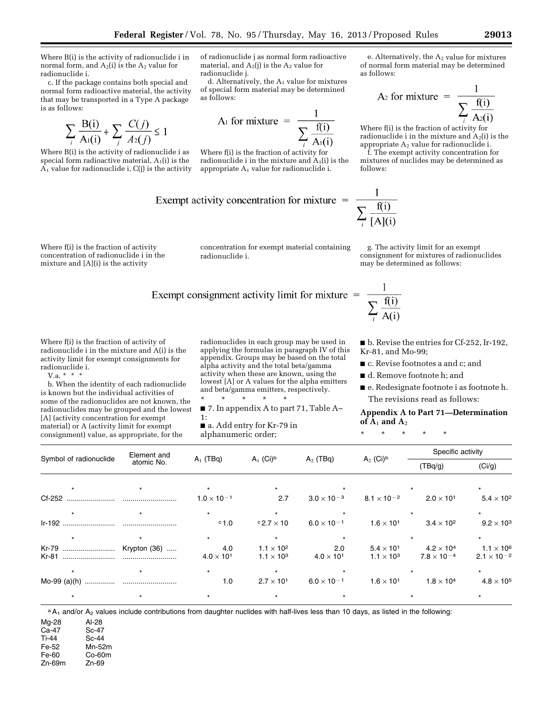Where B(i) is the activity of radionuclide i in normal form, and  $A_2(i)$  is the  $A_2$  value for radionuclide i.

c. If the package contains both special and normal form radioactive material, the activity that may be transported in a Type A package is as follows:

$$
\sum_{i} \frac{\mathbf{B}(i)}{\mathbf{A}_1(i)} + \sum_{j} \frac{C(j)}{A_2(j)} \le 1
$$

Where B(i) is the activity of radionuclide i as special form radioactive material,  $A_1(i)$  is the  $\Lambda_1$  value for radionuclide i, C(j) is the activity



d. Alternatively, the  $A_1$  value for mixtures of special form material may be determined as follows:

$$
A_1 \text{ for mixture } = \frac{1}{\sum_{n=1}^{n} f(i)}
$$

Where f(i) is the fraction of activity for radionuclide i in the mixture and  $A_1(i)$  is the appropriate  $A_1$  value for radionuclide i.

Exempt activity concentration for mixture = 
$$
\frac{1}{2}
$$

\nOutput

\nDescription:

Where f(i) is the fraction of activity concentration of radionuclide i in the mixture and [A](i) is the activity

concentration for exempt material containing radionuclide i.

# Exempt consignment activity limit for mixture  $=$

Where f(i) is the fraction of activity of radionuclide i in the mixture and A(i) is the activity limit for exempt consignments for radionuclide i.

V.a.  $* * * *$ 

b. When the identity of each radionuclide is known but the individual activities of some of the radionuclides are not known, the radionuclides may be grouped and the lowest [A] (activity concentration for exempt material) or A (activity limit for exempt consignment) value, as appropriate, for the

radionuclides in each group may be used in applying the formulas in paragraph IV of this appendix. Groups may be based on the total alpha activity and the total beta/gamma activity when these are known, using the lowest [A] or A values for the alpha emitters and beta/gamma emitters, respectively.

\* \* \* \* \* ■ 7. In appendix A to part 71, Table A–

- 1:
- a. Add entry for Kr-79 in alphanumeric order;

e. Alternatively, the  $A_2$  value for mixtures of normal form material may be determined as follows:

A<sub>2</sub> for mixture 
$$
=
$$
  $\frac{1}{\sum_{i} \frac{f(i)}{A_2(i)}}$ 

Where f(i) is the fraction of activity for radionuclide i in the mixture and  $A_2(i)$  is the appropriate A2 value for radionuclide i.

f. The exempt activity concentration for mixtures of nuclides may be determined as follows:

$$
\frac{1}{\sum_{i} \frac{f(i)}{[A](i)}}
$$

g. The activity limit for an exempt consignment for mixtures of radionuclides may be determined as follows:

$$
\frac{1}{\sum_{i} \frac{f(i)}{A(i)}}
$$

■ b. Revise the entries for Cf-252, Ir-192, Kr-81, and Mo-99;

- c. Revise footnotes a and c; and
- d. Remove footnote h; and
- e. Redesignate footnote i as footnote h. The revisions read as follows:

#### **Appendix A to Part 71—Determination of A**1 **and A**2

\* \* \* \* \*

|                        | Element and |                      |                            |                      |                               | Specific activity    |                      |
|------------------------|-------------|----------------------|----------------------------|----------------------|-------------------------------|----------------------|----------------------|
| Symbol of radionuclide | atomic No.  | $A_1$ (TBq)          | $A_1$ (Ci) <sup>b</sup>    | $A_2$ (TBq)          | $A_2$ (Ci) <sup>b</sup>       | (TBq/g)              | (Ci/g)               |
|                        |             |                      |                            |                      |                               |                      |                      |
|                        |             | $1.0 \times 10^{-1}$ | 2.7                        | $3.0 \times 10^{-3}$ | 8.1 $\times$ 10 <sup>-2</sup> | $2.0 \times 10^{1}$  | $5.4 \times 10^{2}$  |
|                        |             | $\star$              |                            |                      |                               |                      |                      |
|                        |             | $^{\circ}$ 1.0       | $^{\circ}$ 2.7 $\times$ 10 | $6.0 \times 10^{-1}$ | $1.6 \times 10^{1}$           | $3.4 \times 10^{2}$  | $9.2 \times 10^3$    |
|                        |             | $\star$              |                            |                      |                               |                      |                      |
|                        |             | 4.0                  | $1.1 \times 10^{2}$        | 2.0                  | $5.4 \times 10^{1}$           | $4.2 \times 10^4$    | $1.1 \times 10^6$    |
| Kr-81                  |             | $4.0 \times 10^{1}$  | $1.1 \times 10^{3}$        | $4.0 \times 10^{1}$  | $1.1 \times 10^{3}$           | $7.8 \times 10^{-4}$ | $2.1 \times 10^{-2}$ |
|                        |             | $\star$              |                            |                      |                               |                      |                      |
|                        |             | 1.0                  | $2.7 \times 10^{1}$        | $6.0 \times 10^{-1}$ | $1.6 \times 10^{1}$           | $1.8 \times 10^4$    | $4.8 \times 10^5$    |
|                        |             |                      |                            |                      |                               |                      |                      |

a A<sub>1</sub> and/or A<sub>2</sub> values include contributions from daughter nuclides with half-lives less than 10 days, as listed in the following:

Mg-28 Al-28<br>Ca-47 Sc-47

Ca-47<br>Ti-44 Sc-44

Fe-52 Mn-52m

Fe-60 Co-60m<br>Zn-69m Zn-69

 $Zn-69m$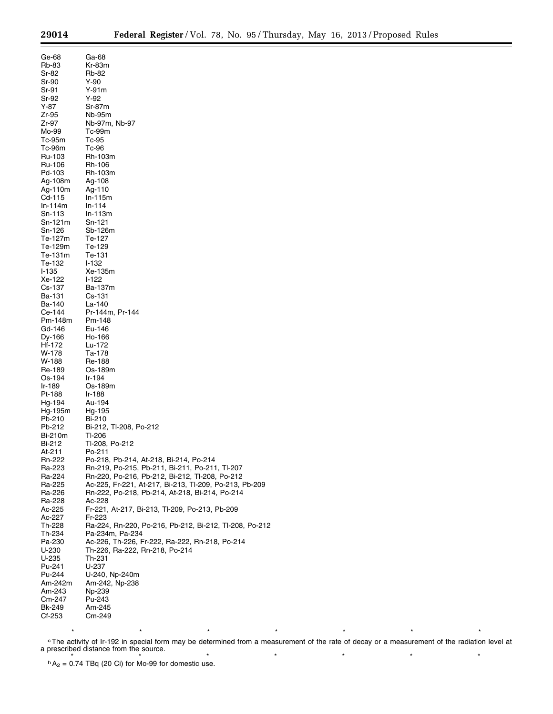| Ge-68          | Ga-68                                                  |
|----------------|--------------------------------------------------------|
|                |                                                        |
| Rb-83          | Kr-83m                                                 |
|                | Rb-82                                                  |
| Sr-82          |                                                        |
| Sr-90          | Y-90                                                   |
|                |                                                        |
| Sr-91          | Y-91m                                                  |
| Sr-92          | Y-92                                                   |
|                |                                                        |
| $Y-87$         | Sr-87m                                                 |
| Zr-95          | Nb-95m                                                 |
|                |                                                        |
| Zr-97          | Nb-97m, Nb-97                                          |
| Mo-99          | Tc-99m                                                 |
|                |                                                        |
| Tc-95m         | Tc-95                                                  |
| Tc-96m         | Tc-96                                                  |
|                |                                                        |
| Ru-103         | Rh-103m                                                |
|                |                                                        |
| Ru-106         | Rh-106                                                 |
| Pd-103         | Rh-103m                                                |
|                |                                                        |
| Ag-108m        | Ag-108                                                 |
| Ag-110m        | Ag-110                                                 |
|                |                                                        |
| Cd-115         | In-115m                                                |
| $ln-114m$      | $In-114$                                               |
|                |                                                        |
| Sn-113         | $ln-113m$                                              |
| Sn-121m        | Sn-121                                                 |
|                |                                                        |
| Sn-126         | Sb-126m                                                |
| Te-127m        |                                                        |
|                | Te-127                                                 |
| Te-129m        | Te-129                                                 |
|                |                                                        |
| Te-131m        | Te-131                                                 |
| Te-132         | I-132                                                  |
|                |                                                        |
| I-135          | Xe-135m                                                |
| Xe-122         | $1-122$                                                |
|                |                                                        |
| Cs-137         | Ba-137m                                                |
| Ba-131         | Cs-131                                                 |
|                |                                                        |
| Ba-140         | La-140                                                 |
| Ce-144         | Pr-144m, Pr-144                                        |
|                |                                                        |
| Pm-148m        | Pm-148                                                 |
| Gd-146         | Eu-146                                                 |
|                |                                                        |
| Dy-166         | Ho-166                                                 |
| Hf-172         | Lu-172                                                 |
|                |                                                        |
| W-178          | Ta-178                                                 |
| W-188          | Re-188                                                 |
|                |                                                        |
| Re-189         | Os-189m                                                |
|                |                                                        |
| Os-194         | Ir-194                                                 |
| Ir-189         | Os-189m                                                |
|                |                                                        |
| Pt-188         | Ir-188                                                 |
| Hg-194         | Au-194                                                 |
|                |                                                        |
| Hg-195m        | Hg-195                                                 |
| Pb-210         | Bi-210                                                 |
|                |                                                        |
| Pb-212         | Bi-212, Tl-208, Po-212                                 |
| <b>Bi-210m</b> | TI-206                                                 |
|                |                                                        |
| <b>Bi-212</b>  | TI-208, Po-212                                         |
| At-211         | Po-211                                                 |
|                |                                                        |
| Rn-222         | Po-218, Pb-214, At-218, Bi-214, Po-214                 |
| Ra-223         | Rn-219, Po-215, Pb-211, Bi-211, Po-211, Tl-207         |
|                |                                                        |
| Ra-224         | Rn-220, Po-216, Pb-212, Bi-212, Tl-208, Po-212         |
| Ra-225         | Ac-225, Fr-221, At-217, Bi-213, Tl-209, Po-213, Pb-209 |
|                |                                                        |
| Ra-226         | Rn-222, Po-218, Pb-214, At-218, Bi-214, Po-214         |
| Ra-228         | Ac-228                                                 |
|                |                                                        |
| Ac-225         | Fr-221, At-217, Bi-213, Tl-209, Po-213, Pb-209         |
| Ac-227         | Fr-223                                                 |
|                |                                                        |
| Th-228         | Ra-224, Rn-220, Po-216, Pb-212, Bi-212, Tl-208, Po-212 |
| Th-234         | Pa-234m, Pa-234                                        |
|                |                                                        |
| Pa-230         | Ac-226, Th-226, Fr-222, Ra-222, Rn-218, Po-214         |
| U-230          | Th-226, Ra-222, Rn-218, Po-214                         |
|                |                                                        |
| U-235          | Th-231                                                 |
| Pu-241         | U-237                                                  |
|                |                                                        |
| Pu-244         | U-240, Np-240m                                         |
| Am-242m        | Am-242, Np-238                                         |
|                |                                                        |
| Am-243         | Np-239                                                 |
| Cm-247         | Pu-243                                                 |
|                |                                                        |
| Bk-249         | Am-245                                                 |
| Cf-253         | Cm-249                                                 |
|                |                                                        |

\* \* \* \* \* \* \* \* \* \* \* \* \* \* <sup>c</sup>The activity of Ir-192 in special form may be determined from a measurement of the rate of decay or a measurement of the radiation level at a prescribed distance from the source.

 $A_2 = 0.74$  TBq (20 Ci) for Mo-99 for domestic use.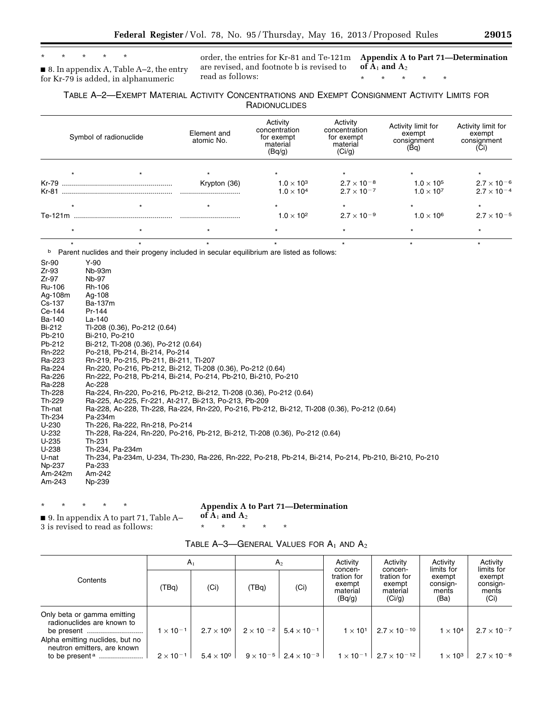# \* \* \* \* \*

■ 8. In appendix A, Table A-2, the entry for Kr-79 is added, in alphanumeric

order, the entries for Kr-81 and Te-121m **Appendix A to Part 71—Determination**  are revised, and footnote b is revised to read as follows:

 $of \overline{A}_1$  and  $A_2$ 

\* \* \* \* \*

#### TABLE A–2—EXEMPT MATERIAL ACTIVITY CONCENTRATIONS AND EXEMPT CONSIGNMENT ACTIVITY LIMITS FOR **RADIONUCLIDES**

|         | Symbol of radionuclide | Element and<br>atomic No. | Activity<br>concentration<br>for exempt<br>material<br>(Bq/g) | Activity<br>concentration<br>for exempt<br>material<br>(Ci/g) | Activity limit for<br>exempt<br>consignment<br>(Bq) | Activity limit for<br>exempt<br>consignment<br>(Ci) |  |
|---------|------------------------|---------------------------|---------------------------------------------------------------|---------------------------------------------------------------|-----------------------------------------------------|-----------------------------------------------------|--|
|         |                        |                           |                                                               |                                                               |                                                     |                                                     |  |
| Kr-79   |                        | Krypton (36)              | $1.0 \times 10^{3}$                                           | $2.7 \times 10^{-8}$                                          | $1.0 \times 10^{5}$                                 | $2.7 \times 10^{-6}$                                |  |
| Kr-81   |                        |                           | $1.0 \times 10^{4}$                                           | $2.7 \times 10^{-7}$                                          | $1.0 \times 10^{7}$                                 | $2.7 \times 10^{-4}$                                |  |
|         |                        |                           | $\star$                                                       |                                                               |                                                     |                                                     |  |
| Te-121m |                        |                           | $1.0 \times 10^{2}$                                           | $2.7 \times 10^{-9}$                                          | $1.0 \times 10^{6}$                                 | $2.7 \times 10^{-5}$                                |  |
|         |                        |                           |                                                               |                                                               |                                                     |                                                     |  |

<sup>b</sup> Parent nuclides and their progeny included in secular equilibrium are listed as follows:

Sr-90 Y-90 Zr-93 Nb-93m Zr-97 Nb-97 Ru-106 Rh-106<br>Ag-108m Ag-108 Ag-108m Cs-137 Ba-137m Pr-144 Ba-140 La-140 Bi-212 Tl-208 (0.36), Po-212 (0.64) Bi-210, Po-210 Pb-212 Bi-212, Tl-208 (0.36), Po-212 (0.64) Rn-222 Po-218, Pb-214, Bi-214, Po-214 Ra-223 Rn-219, Po-215, Pb-211, Bi-211, Tl-207 Ra-224 Rn-220, Po-216, Pb-212, Bi-212, Tl-208 (0.36), Po-212 (0.64) Ra-226 Rn-222, Po-218, Pb-214, Bi-214, Po-214, Pb-210, Bi-210, Po-210 Ra-228 Ac-228 Th-228 Ra-224, Rn-220, Po-216, Pb-212, Bi-212, Tl-208 (0.36), Po-212 (0.64) Th-229 Ra-225, Ac-225, Fr-221, At-217, Bi-213, Po-213, Pb-209 Th-nat Ra-228, Ac-228, Th-228, Ra-224, Rn-220, Po-216, Pb-212, Bi-212, Tl-208 (0.36), Po-212 (0.64) Th-234 Pa-234m U-230 Th-226, Ra-222, Rn-218, Po-214 U-232 Th-228, Ra-224, Rn-220, Po-216, Pb-212, Bi-212, Tl-208 (0.36), Po-212 (0.64) U-235 Th-231 U-238 Th-234, Pa-234m U-nat Th-234, Pa-234m, U-234, Th-230, Ra-226, Rn-222, Po-218, Pb-214, Bi-214, Po-214, Pb-210, Bi-210, Po-210 Np-237 Pa-233 Am-242m Am-242 Am-243 Np-239

> **Appendix A to Part 71—Determination**   $of A_1$  and  $A_2$

\* \* \* \* \*

■ 9. In appendix A to part 71, Table A– 3 is revised to read as follows:

\* \* \* \* \*

| TABLE $A-3$ —GENERAL VALUES FOR $A_1$ and $A_2$ |
|-------------------------------------------------|
|-------------------------------------------------|

|                                                                                                                             | A <sub>1</sub>     |                     | $A_{2}$ |                                                    | Activity                                               | Activity                                               | Activity<br>limits for              | Activity<br>limits for              |
|-----------------------------------------------------------------------------------------------------------------------------|--------------------|---------------------|---------|----------------------------------------------------|--------------------------------------------------------|--------------------------------------------------------|-------------------------------------|-------------------------------------|
| Contents                                                                                                                    | (TBq)              | (Ci)                | (TBq)   | (Ci)                                               | concen-<br>tration for<br>exempt<br>material<br>(Bq/g) | concen-<br>tration for<br>exempt<br>material<br>(Ci/g) | exempt<br>consign-<br>ments<br>(Ba) | exempt<br>consign-<br>ments<br>(Ci) |
| Only beta or gamma emitting<br>radionuclides are known to<br>Alpha emitting nuclides, but no<br>neutron emitters, are known | $1 \times 10^{-1}$ | $2.7 \times 10^{0}$ |         | $2 \times 10^{-2}$ 5.4 $\times 10^{-1}$            | $1 \times 10^1$                                        | $2.7 \times 10^{-10}$                                  | $1 \times 10^4$                     | $2.7 \times 10^{-7}$                |
|                                                                                                                             | $2 \times 10^{-1}$ | $5.4 \times 10^{0}$ |         | $9 \times 10^{-5}$   2.4 $\times$ 10 <sup>-3</sup> |                                                        | $1 \times 10^{-1}$   2.7 $\times$ 10 <sup>-12</sup>    | $1 \times 10^3$                     | $2.7 \times 10^{-8}$                |